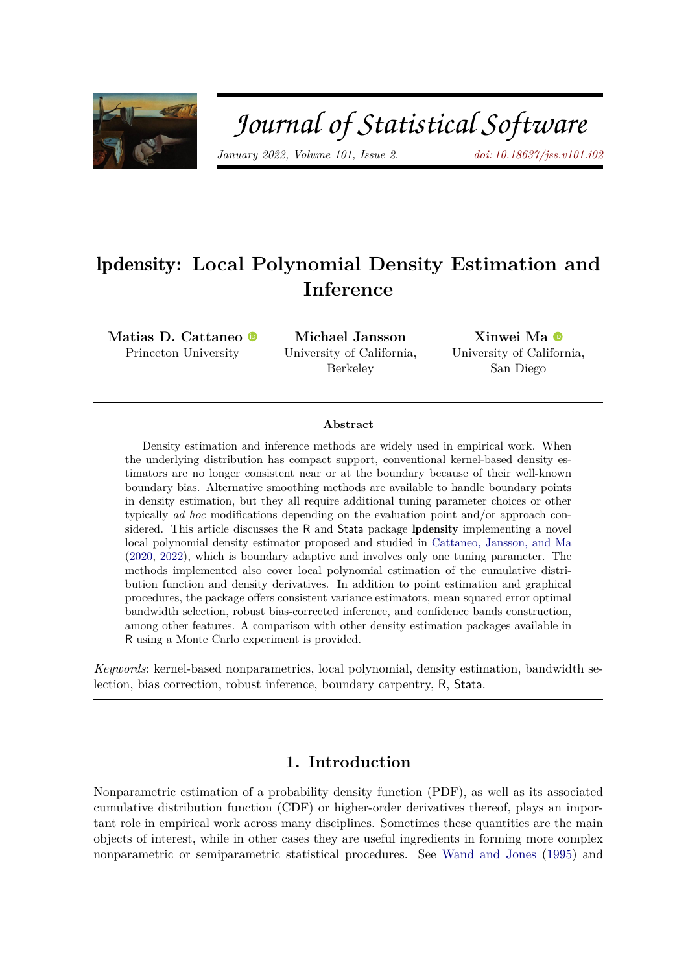

# Journal of Statistical Software

*January 2022, Volume 101, Issue 2. [doi: 10.18637/jss.v101.i02](https://doi.org/10.18637/jss.v101.i02)*

# lpdensity**: Local Polynomial Density Estimation and Inference**

**Matias D. Cattaneo** Princeton University

**Michael Jansson** University of California, Berkeley

**Xinwei Ma** University of California, San Diego

#### **Abstract**

Density estimation and inference methods are widely used in empirical work. When the underlying distribution has compact support, conventional kernel-based density estimators are no longer consistent near or at the boundary because of their well-known boundary bias. Alternative smoothing methods are available to handle boundary points in density estimation, but they all require additional tuning parameter choices or other typically *ad hoc* modifications depending on the evaluation point and/or approach considered. This article discusses the R and Stata package lpdensity implementing a novel local polynomial density estimator proposed and studied in [Cattaneo, Jansson, and Ma](#page-18-0) [\(2020,](#page-18-0) [2022\)](#page-18-1), which is boundary adaptive and involves only one tuning parameter. The methods implemented also cover local polynomial estimation of the cumulative distribution function and density derivatives. In addition to point estimation and graphical procedures, the package offers consistent variance estimators, mean squared error optimal bandwidth selection, robust bias-corrected inference, and confidence bands construction, among other features. A comparison with other density estimation packages available in R using a Monte Carlo experiment is provided.

*Keywords*: kernel-based nonparametrics, local polynomial, density estimation, bandwidth selection, bias correction, robust inference, boundary carpentry, R, Stata.

### **1. Introduction**

Nonparametric estimation of a probability density function (PDF), as well as its associated cumulative distribution function (CDF) or higher-order derivatives thereof, plays an important role in empirical work across many disciplines. Sometimes these quantities are the main objects of interest, while in other cases they are useful ingredients in forming more complex nonparametric or semiparametric statistical procedures. See [Wand and Jones](#page-19-0) [\(1995\)](#page-19-0) and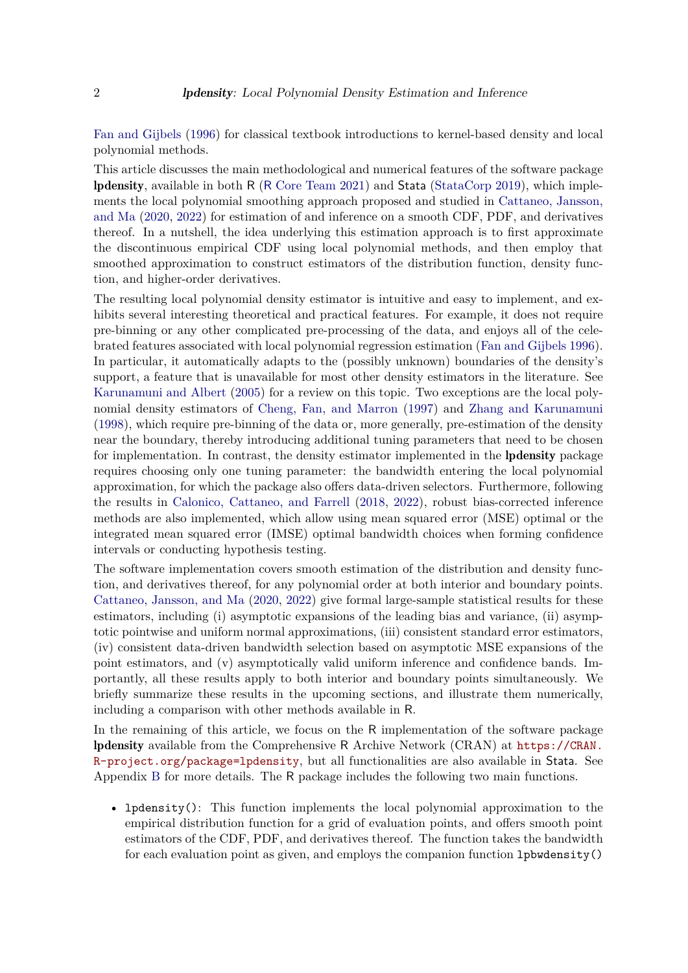[Fan and Gijbels](#page-18-2) [\(1996\)](#page-18-2) for classical textbook introductions to kernel-based density and local polynomial methods.

This article discusses the main methodological and numerical features of the software package lpdensity, available in both R (R [Core Team](#page-18-3) [2021\)](#page-18-3) and Stata [\(StataCorp](#page-19-1) [2019\)](#page-19-1), which implements the local polynomial smoothing approach proposed and studied in [Cattaneo, Jansson,](#page-18-0) [and Ma](#page-18-0) [\(2020,](#page-18-0) [2022\)](#page-18-1) for estimation of and inference on a smooth CDF, PDF, and derivatives thereof. In a nutshell, the idea underlying this estimation approach is to first approximate the discontinuous empirical CDF using local polynomial methods, and then employ that smoothed approximation to construct estimators of the distribution function, density function, and higher-order derivatives.

The resulting local polynomial density estimator is intuitive and easy to implement, and exhibits several interesting theoretical and practical features. For example, it does not require pre-binning or any other complicated pre-processing of the data, and enjoys all of the celebrated features associated with local polynomial regression estimation [\(Fan and Gijbels](#page-18-2) [1996\)](#page-18-2). In particular, it automatically adapts to the (possibly unknown) boundaries of the density's support, a feature that is unavailable for most other density estimators in the literature. See [Karunamuni and Albert](#page-18-4) [\(2005\)](#page-18-4) for a review on this topic. Two exceptions are the local polynomial density estimators of [Cheng, Fan, and Marron](#page-18-5) [\(1997\)](#page-18-5) and [Zhang and Karunamuni](#page-19-2) [\(1998\)](#page-19-2), which require pre-binning of the data or, more generally, pre-estimation of the density near the boundary, thereby introducing additional tuning parameters that need to be chosen for implementation. In contrast, the density estimator implemented in the **lpdensity** package requires choosing only one tuning parameter: the bandwidth entering the local polynomial approximation, for which the package also offers data-driven selectors. Furthermore, following the results in [Calonico, Cattaneo, and Farrell](#page-18-6) [\(2018,](#page-18-6) [2022\)](#page-18-7), robust bias-corrected inference methods are also implemented, which allow using mean squared error (MSE) optimal or the integrated mean squared error (IMSE) optimal bandwidth choices when forming confidence intervals or conducting hypothesis testing.

The software implementation covers smooth estimation of the distribution and density function, and derivatives thereof, for any polynomial order at both interior and boundary points. [Cattaneo, Jansson, and Ma](#page-18-0) [\(2020,](#page-18-0) [2022\)](#page-18-1) give formal large-sample statistical results for these estimators, including (i) asymptotic expansions of the leading bias and variance, (ii) asymptotic pointwise and uniform normal approximations, (iii) consistent standard error estimators, (iv) consistent data-driven bandwidth selection based on asymptotic MSE expansions of the point estimators, and (v) asymptotically valid uniform inference and confidence bands. Importantly, all these results apply to both interior and boundary points simultaneously. We briefly summarize these results in the upcoming sections, and illustrate them numerically, including a comparison with other methods available in R.

In the remaining of this article, we focus on the R implementation of the software package lpdensity available from the Comprehensive R Archive Network (CRAN) at [https://CRAN.](https://CRAN.R-project.org/package=lpdensity) [R-project.org/package=lpdensity](https://CRAN.R-project.org/package=lpdensity), but all functionalities are also available in Stata. See Appendix [B](#page-21-0) for more details. The R package includes the following two main functions.

• lpdensity(): This function implements the local polynomial approximation to the empirical distribution function for a grid of evaluation points, and offers smooth point estimators of the CDF, PDF, and derivatives thereof. The function takes the bandwidth for each evaluation point as given, and employs the companion function lpbwdensity()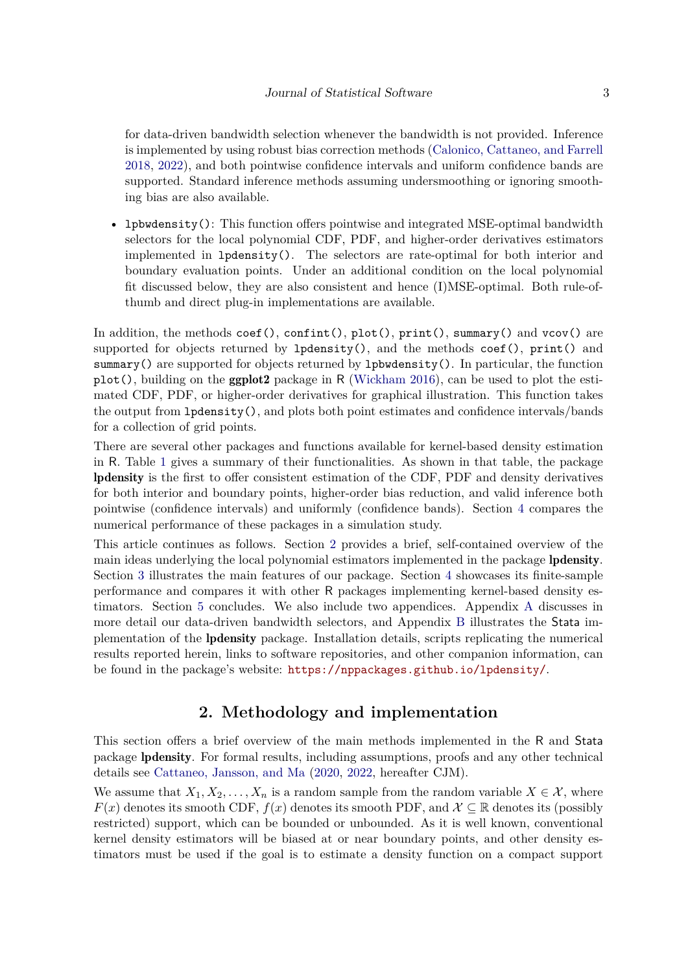for data-driven bandwidth selection whenever the bandwidth is not provided. Inference is implemented by using robust bias correction methods [\(Calonico, Cattaneo, and Farrell](#page-18-6) [2018,](#page-18-6) [2022\)](#page-18-7), and both pointwise confidence intervals and uniform confidence bands are supported. Standard inference methods assuming undersmoothing or ignoring smoothing bias are also available.

• lpbwdensity(): This function offers pointwise and integrated MSE-optimal bandwidth selectors for the local polynomial CDF, PDF, and higher-order derivatives estimators implemented in lpdensity(). The selectors are rate-optimal for both interior and boundary evaluation points. Under an additional condition on the local polynomial fit discussed below, they are also consistent and hence (I)MSE-optimal. Both rule-ofthumb and direct plug-in implementations are available.

In addition, the methods  $\text{coef}()$ ,  $\text{confint}()$ ,  $\text{plot}()$ ,  $\text{print}()$ ,  $\text{summary}()$  and  $\text{vcov}()$  are supported for objects returned by  $l$ pdensity(), and the methods coef(), print() and summary() are supported for objects returned by lpbwdensity(). In particular, the function  $plot($ ), building on the **ggplot2** package in R [\(Wickham](#page-19-3) [2016\)](#page-19-3), can be used to plot the estimated CDF, PDF, or higher-order derivatives for graphical illustration. This function takes the output from lpdensity(), and plots both point estimates and confidence intervals/bands for a collection of grid points.

There are several other packages and functions available for kernel-based density estimation in R. Table [1](#page-3-0) gives a summary of their functionalities. As shown in that table, the package lpdensity is the first to offer consistent estimation of the CDF, PDF and density derivatives for both interior and boundary points, higher-order bias reduction, and valid inference both pointwise (confidence intervals) and uniformly (confidence bands). Section [4](#page-16-0) compares the numerical performance of these packages in a simulation study.

This article continues as follows. Section [2](#page-2-0) provides a brief, self-contained overview of the main ideas underlying the local polynomial estimators implemented in the package lpdensity. Section [3](#page-9-0) illustrates the main features of our package. Section [4](#page-16-0) showcases its finite-sample performance and compares it with other R packages implementing kernel-based density estimators. Section [5](#page-17-0) concludes. We also include two appendices. Appendix [A](#page-20-0) discusses in more detail our data-driven bandwidth selectors, and Appendix [B](#page-21-0) illustrates the Stata implementation of the lpdensity package. Installation details, scripts replicating the numerical results reported herein, links to software repositories, and other companion information, can be found in the package's website: <https://nppackages.github.io/lpdensity/>.

# **2. Methodology and implementation**

<span id="page-2-0"></span>This section offers a brief overview of the main methods implemented in the R and Stata package lpdensity. For formal results, including assumptions, proofs and any other technical details see [Cattaneo, Jansson, and Ma](#page-18-0) [\(2020,](#page-18-0) [2022,](#page-18-1) hereafter CJM).

We assume that  $X_1, X_2, \ldots, X_n$  is a random sample from the random variable  $X \in \mathcal{X}$ , where  $F(x)$  denotes its smooth CDF,  $f(x)$  denotes its smooth PDF, and  $\mathcal{X} \subseteq \mathbb{R}$  denotes its (possibly restricted) support, which can be bounded or unbounded. As it is well known, conventional kernel density estimators will be biased at or near boundary points, and other density estimators must be used if the goal is to estimate a density function on a compact support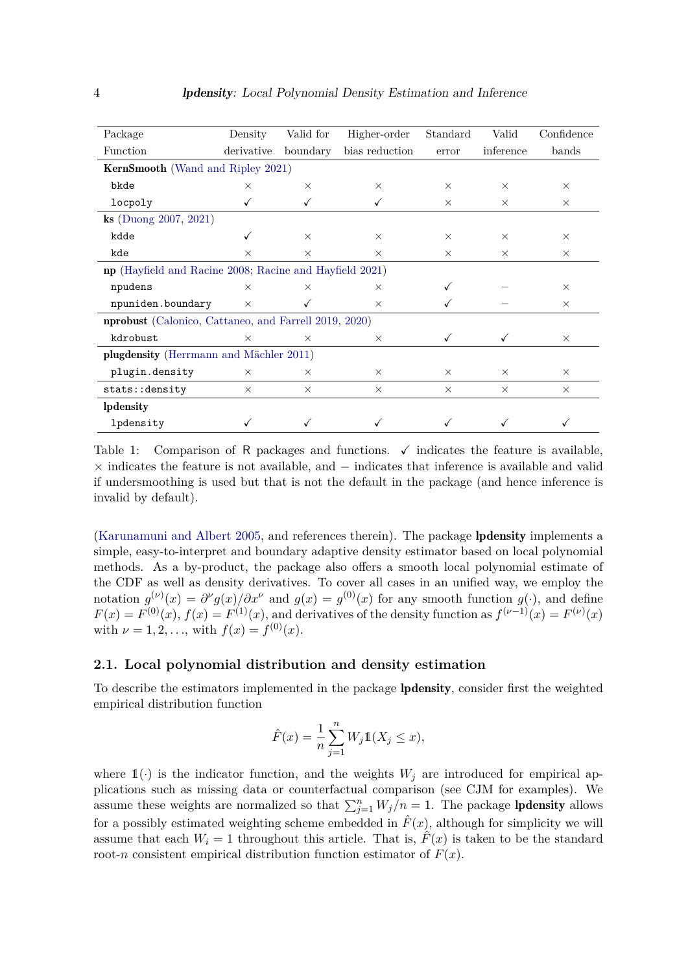<span id="page-3-0"></span>

| Package                                                      | Density    | Valid for | Higher-order   | Standard | Valid     | Confidence |  |  |
|--------------------------------------------------------------|------------|-----------|----------------|----------|-----------|------------|--|--|
| Function                                                     | derivative | boundary  | bias reduction | error    | inference | bands      |  |  |
| <b>KernSmooth</b> (Wand and Ripley 2021)                     |            |           |                |          |           |            |  |  |
| bkde                                                         | $\times$   | $\times$  | $\times$       | $\times$ | $\times$  | $\times$   |  |  |
| locpoly                                                      |            |           |                | $\times$ | $\times$  | $\times$   |  |  |
| $\&$ (Duong 2007, 2021)                                      |            |           |                |          |           |            |  |  |
| kdde                                                         | ✓          | $\times$  | $\times$       | $\times$ | $\times$  | $\times$   |  |  |
| kde                                                          | $\times$   | $\times$  | $\times$       | $\times$ | $\times$  | $\times$   |  |  |
| np (Hayfield and Racine 2008; Racine and Hayfield 2021)      |            |           |                |          |           |            |  |  |
| npudens                                                      | $\times$   | $\times$  | $\times$       |          |           | $\times$   |  |  |
| npuniden.boundary                                            | $\times$   |           | $\times$       |          |           | $\times$   |  |  |
| <b>nprobust</b> (Calonico, Cattaneo, and Farrell 2019, 2020) |            |           |                |          |           |            |  |  |
| kdrobust                                                     | $\times$   | $\times$  | $\times$       | ✓        | ✓         | $\times$   |  |  |
| plugdensity (Herrmann and Mächler 2011)                      |            |           |                |          |           |            |  |  |
| plugin.density                                               | $\times$   | $\times$  | $\times$       | $\times$ | $\times$  | $\times$   |  |  |
| stats::density                                               | $\times$   | $\times$  | $\times$       | $\times$ | $\times$  | $\times$   |  |  |
| lpdensity                                                    |            |           |                |          |           |            |  |  |
| lpdensity                                                    |            |           |                |          |           |            |  |  |

Table 1: Comparison of R packages and functions.  $\checkmark$  indicates the feature is available, × indicates the feature is not available, and − indicates that inference is available and valid if undersmoothing is used but that is not the default in the package (and hence inference is invalid by default).

[\(Karunamuni and Albert](#page-18-4) [2005,](#page-18-4) and references therein). The package lpdensity implements a simple, easy-to-interpret and boundary adaptive density estimator based on local polynomial methods. As a by-product, the package also offers a smooth local polynomial estimate of the CDF as well as density derivatives. To cover all cases in an unified way, we employ the notation  $g^{(\nu)}(x) = \frac{\partial^{\nu} g(x)}{\partial x^{\nu}}$  and  $g(x) = g^{(0)}(x)$  for any smooth function  $g(\cdot)$ , and define  $F(x) = F^{(0)}(x)$ ,  $f(x) = F^{(1)}(x)$ , and derivatives of the density function as  $f^{(\nu-1)}(x) = F^{(\nu)}(x)$ with  $\nu = 1, 2, \ldots$ , with  $f(x) = f^{(0)}(x)$ .

#### **2.1. Local polynomial distribution and density estimation**

To describe the estimators implemented in the package lpdensity, consider first the weighted empirical distribution function

$$
\hat{F}(x) = \frac{1}{n} \sum_{j=1}^{n} W_j \mathbb{1}(X_j \le x),
$$

where  $\mathbb{1}(\cdot)$  is the indicator function, and the weights  $W_j$  are introduced for empirical applications such as missing data or counterfactual comparison (see CJM for examples). We assume these weights are normalized so that  $\sum_{j=1}^{n} W_j/n = 1$ . The package **lpdensity** allows for a possibly estimated weighting scheme embedded in  $\hat{F}(x)$ , although for simplicity we will assume that each  $W_i = 1$  throughout this article. That is,  $\hat{F}(x)$  is taken to be the standard root-*n* consistent empirical distribution function estimator of  $F(x)$ .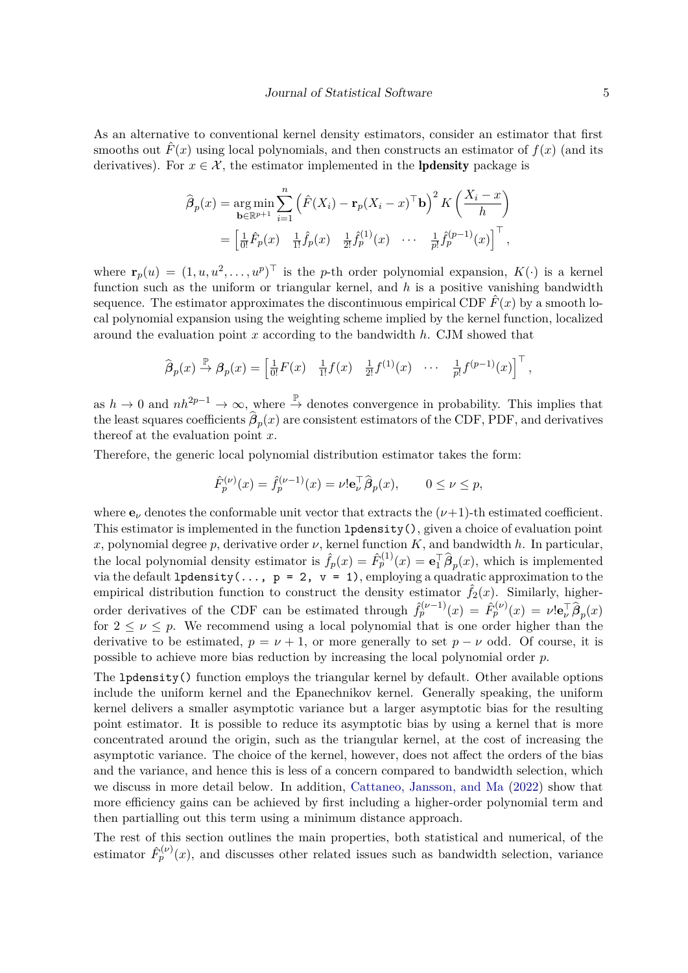As an alternative to conventional kernel density estimators, consider an estimator that first smooths out  $\hat{F}(x)$  using local polynomials, and then constructs an estimator of  $f(x)$  (and its derivatives). For  $x \in \mathcal{X}$ , the estimator implemented in the **lpdensity** package is

$$
\widehat{\beta}_p(x) = \underset{\mathbf{b} \in \mathbb{R}^{p+1}}{\arg \min} \sum_{i=1}^n \left( \widehat{F}(X_i) - \mathbf{r}_p(X_i - x)^\top \mathbf{b} \right)^2 K \left( \frac{X_i - x}{h} \right)
$$

$$
= \left[ \frac{1}{0!} \widehat{F}_p(x) - \frac{1}{1!} \widehat{f}_p(x) - \frac{1}{2!} \widehat{f}_p^{(1)}(x) \cdots - \frac{1}{p!} \widehat{f}_p^{(p-1)}(x) \right]^\top,
$$

where  $\mathbf{r}_p(u) = (1, u, u^2, \dots, u^p)^\top$  is the *p*-th order polynomial expansion,  $K(\cdot)$  is a kernel function such as the uniform or triangular kernel, and *h* is a positive vanishing bandwidth sequence. The estimator approximates the discontinuous empirical CDF  $\hat{F}(x)$  by a smooth local polynomial expansion using the weighting scheme implied by the kernel function, localized around the evaluation point *x* according to the bandwidth *h*. CJM showed that

$$
\widehat{\boldsymbol{\beta}}_p(x) \stackrel{\mathbb{P}}{\rightarrow} \boldsymbol{\beta}_p(x) = \begin{bmatrix} \frac{1}{0!} F(x) & \frac{1}{1!} f(x) & \frac{1}{2!} f^{(1)}(x) & \cdots & \frac{1}{p!} f^{(p-1)}(x) \end{bmatrix}^\top,
$$

as  $h \to 0$  and  $nh^{2p-1} \to \infty$ , where  $\stackrel{\mathbb{P}}{\to}$  denotes convergence in probability. This implies that the least squares coefficients  $\beta_p(x)$  are consistent estimators of the CDF, PDF, and derivatives thereof at the evaluation point *x*.

Therefore, the generic local polynomial distribution estimator takes the form:

$$
\hat{F}_p^{(\nu)}(x) = \hat{f}_p^{(\nu-1)}(x) = \nu! \mathbf{e}_\nu^\top \hat{\boldsymbol{\beta}}_p(x), \qquad 0 \le \nu \le p,
$$

where  $\mathbf{e}_{\nu}$  denotes the conformable unit vector that extracts the  $(\nu+1)$ -th estimated coefficient. This estimator is implemented in the function lpdensity(), given a choice of evaluation point *x*, polynomial degree *p*, derivative order  $\nu$ , kernel function  $K$ , and bandwidth  $h$ . In particular, the local polynomial density estimator is  $\hat{f}_p(x) = \hat{F}_p^{(1)}(x) = \mathbf{e}_1^{\top} \hat{\beta}_p(x)$ , which is implemented via the default 1 pdensity (...,  $p = 2$ ,  $v = 1$ ), employing a quadratic approximation to the empirical distribution function to construct the density estimator  $\hat{f}_2(x)$ . Similarly, higherorder derivatives of the CDF can be estimated through  $\hat{f}_p^{(\nu-1)}(x) = \hat{F}_p^{(\nu)}(x) = \nu! \mathbf{e}_\nu^{\top} \hat{\beta}_p(x)$ for  $2 \leq \nu \leq p$ . We recommend using a local polynomial that is one order higher than the derivative to be estimated,  $p = \nu + 1$ , or more generally to set  $p - \nu$  odd. Of course, it is possible to achieve more bias reduction by increasing the local polynomial order *p*.

The lpdensity() function employs the triangular kernel by default. Other available options include the uniform kernel and the Epanechnikov kernel. Generally speaking, the uniform kernel delivers a smaller asymptotic variance but a larger asymptotic bias for the resulting point estimator. It is possible to reduce its asymptotic bias by using a kernel that is more concentrated around the origin, such as the triangular kernel, at the cost of increasing the asymptotic variance. The choice of the kernel, however, does not affect the orders of the bias and the variance, and hence this is less of a concern compared to bandwidth selection, which we discuss in more detail below. In addition, [Cattaneo, Jansson, and Ma](#page-18-1) [\(2022\)](#page-18-1) show that more efficiency gains can be achieved by first including a higher-order polynomial term and then partialling out this term using a minimum distance approach.

The rest of this section outlines the main properties, both statistical and numerical, of the estimator  $\hat{F}_{p}^{(\nu)}(x)$ , and discusses other related issues such as bandwidth selection, variance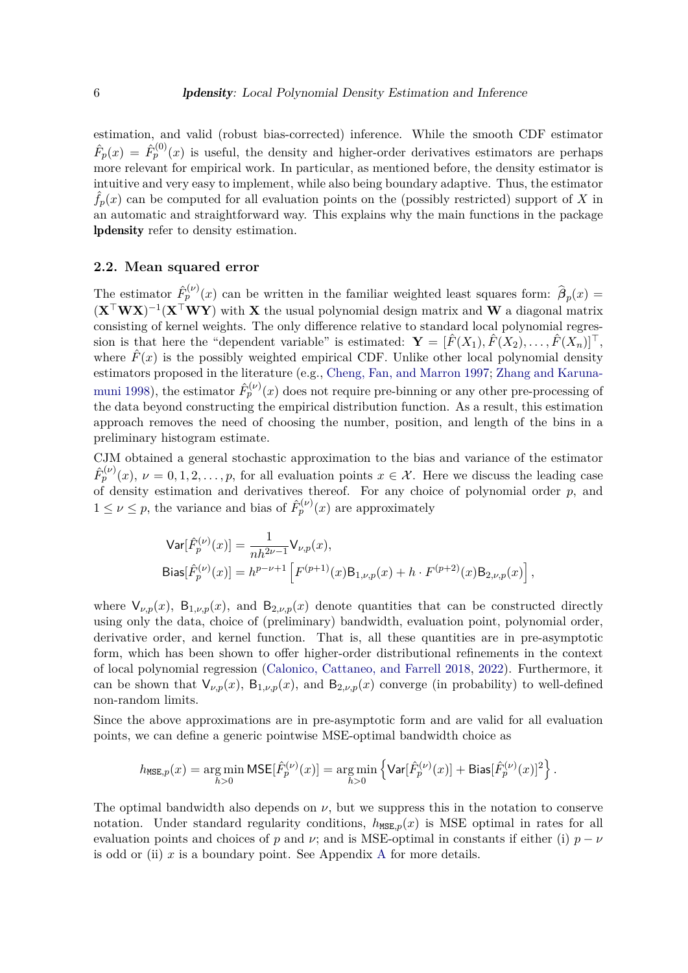estimation, and valid (robust bias-corrected) inference. While the smooth CDF estimator  $\hat{F}_p(x) = \hat{F}_p^{(0)}(x)$  is useful, the density and higher-order derivatives estimators are perhaps more relevant for empirical work. In particular, as mentioned before, the density estimator is intuitive and very easy to implement, while also being boundary adaptive. Thus, the estimator  $f_p(x)$  can be computed for all evaluation points on the (possibly restricted) support of X in an automatic and straightforward way. This explains why the main functions in the package lpdensity refer to density estimation.

#### **2.2. Mean squared error**

The estimator  $\hat{F}_p^{(\nu)}(x)$  can be written in the familiar weighted least squares form:  $\hat{\beta}_p(x)$ (**X**⊤**WX**) −1 (**X**⊤**WY**) with **X** the usual polynomial design matrix and **W** a diagonal matrix consisting of kernel weights. The only difference relative to standard local polynomial regression is that here the "dependent variable" is estimated:  $\mathbf{Y} = [\hat{F}(X_1), \hat{F}(X_2), \dots, \hat{F}(X_n)]^\top$ , where  $\hat{F}(x)$  is the possibly weighted empirical CDF. Unlike other local polynomial density estimators proposed in the literature (e.g., [Cheng, Fan, and Marron](#page-18-5) [1997;](#page-18-5) [Zhang and Karuna](#page-19-2)[muni](#page-19-2) [1998\)](#page-19-2), the estimator  $\hat{F}_p^{(\nu)}(x)$  does not require pre-binning or any other pre-processing of the data beyond constructing the empirical distribution function. As a result, this estimation approach removes the need of choosing the number, position, and length of the bins in a preliminary histogram estimate.

CJM obtained a general stochastic approximation to the bias and variance of the estimator  $\hat{F}_{p}^{(\nu)}(x), \nu = 0, 1, 2, \ldots, p$ , for all evaluation points  $x \in \mathcal{X}$ . Here we discuss the leading case of density estimation and derivatives thereof. For any choice of polynomial order *p*, and  $1 \leq \nu \leq p$ , the variance and bias of  $\hat{F}_p^{(\nu)}(x)$  are approximately

$$
\begin{split} &\mathsf{Var}[\hat{F}_p^{(\nu)}(x)] = \frac{1}{nh^{2\nu - 1}} \mathsf{V}_{\nu, p}(x), \\ &\mathsf{Bias}[\hat{F}_p^{(\nu)}(x)] = h^{p - \nu + 1} \left[ F^{(p+1)}(x) \mathsf{B}_{1, \nu, p}(x) + h \cdot F^{(p+2)}(x) \mathsf{B}_{2, \nu, p}(x) \right], \end{split}
$$

where  $V_{\nu,p}(x)$ ,  $B_{1,\nu,p}(x)$ , and  $B_{2,\nu,p}(x)$  denote quantities that can be constructed directly using only the data, choice of (preliminary) bandwidth, evaluation point, polynomial order, derivative order, and kernel function. That is, all these quantities are in pre-asymptotic form, which has been shown to offer higher-order distributional refinements in the context of local polynomial regression [\(Calonico, Cattaneo, and Farrell](#page-18-6) [2018,](#page-18-6) [2022\)](#page-18-7). Furthermore, it can be shown that  $V_{\nu,p}(x)$ ,  $B_{1,\nu,p}(x)$ , and  $B_{2,\nu,p}(x)$  converge (in probability) to well-defined non-random limits.

Since the above approximations are in pre-asymptotic form and are valid for all evaluation points, we can define a generic pointwise MSE-optimal bandwidth choice as

$$
h_{\text{MSE},p}(x)=\underset{h>0}{\arg\min}\ \text{MSE}[\hat{F}^{(\nu)}_p(x)]=\underset{h>0}{\arg\min}\left\{\text{Var}[\hat{F}^{(\nu)}_p(x)]+\text{Bias}[\hat{F}^{(\nu)}_p(x)]^2\right\}.
$$

The optimal bandwidth also depends on  $\nu$ , but we suppress this in the notation to conserve notation. Under standard regularity conditions,  $h_{\text{MSE},p}(x)$  is MSE optimal in rates for all evaluation points and choices of *p* and *v*; and is MSE-optimal in constants if either (i)  $p - \nu$ is odd or (ii)  $x$  is a boundary point. See [A](#page-20-0)ppendix A for more details.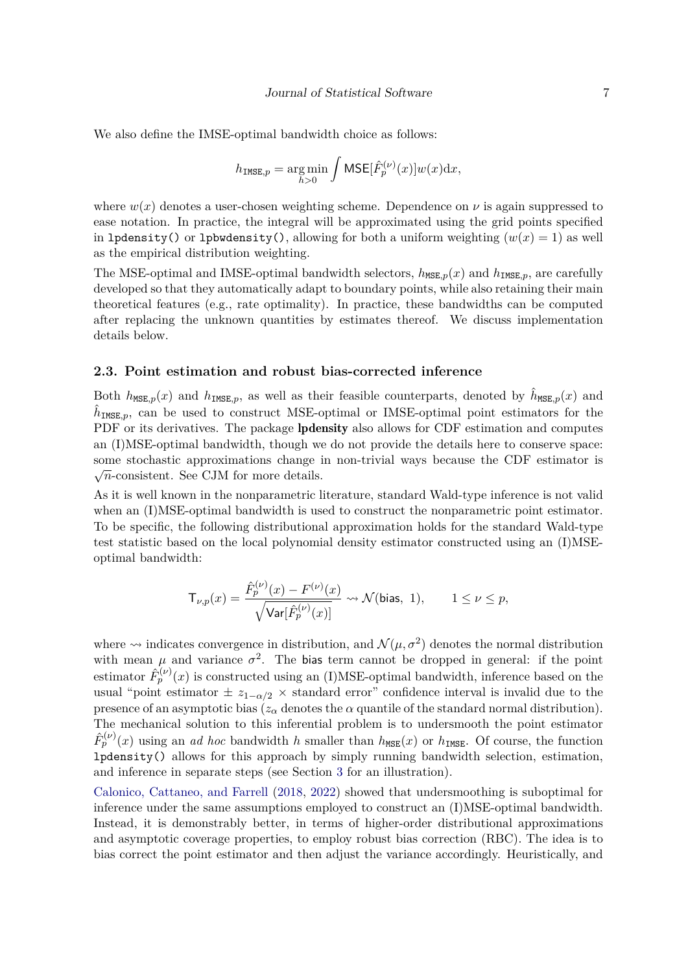We also define the IMSE-optimal bandwidth choice as follows:

$$
h_{\text{IMSE},p} = \underset{h>0}{\arg\min} \int \text{MSE}[\hat{F}_p^{(\nu)}(x)]w(x)\mathrm{d}x,
$$

where  $w(x)$  denotes a user-chosen weighting scheme. Dependence on  $\nu$  is again suppressed to ease notation. In practice, the integral will be approximated using the grid points specified in 1pdensity() or 1pbwdensity(), allowing for both a uniform weighting  $(w(x) = 1)$  as well as the empirical distribution weighting.

The MSE-optimal and IMSE-optimal bandwidth selectors,  $h_{\text{MSE},p}(x)$  and  $h_{\text{IMSE},p}$ , are carefully developed so that they automatically adapt to boundary points, while also retaining their main theoretical features (e.g., rate optimality). In practice, these bandwidths can be computed after replacing the unknown quantities by estimates thereof. We discuss implementation details below.

#### **2.3. Point estimation and robust bias-corrected inference**

Both  $h_{\text{MSE},p}(x)$  and  $h_{\text{IMSE},p}$ , as well as their feasible counterparts, denoted by  $\hat{h}_{\text{MSE},p}(x)$  and  $\hat{h}_{\text{IMSE},p}$ , can be used to construct MSE-optimal or IMSE-optimal point estimators for the PDF or its derivatives. The package **lpdensity** also allows for CDF estimation and computes an (I)MSE-optimal bandwidth, though we do not provide the details here to conserve space: some stochastic approximations change in non-trivial ways because the CDF estimator is  $\sqrt{n}$ -consistent. See CJM for more details.

As it is well known in the nonparametric literature, standard Wald-type inference is not valid when an (I)MSE-optimal bandwidth is used to construct the nonparametric point estimator. To be specific, the following distributional approximation holds for the standard Wald-type test statistic based on the local polynomial density estimator constructed using an (I)MSEoptimal bandwidth:

$$
\mathsf{T}_{\nu,p}(x)=\frac{\hat{F}_p^{(\nu)}(x)-F^{(\nu)}(x)}{\sqrt{\textsf{Var}[\hat{F}_p^{(\nu)}(x)]}}\leadsto \mathcal{N}(\textsf{bias},\ 1),\qquad 1\leq \nu\leq p,
$$

where  $\rightsquigarrow$  indicates convergence in distribution, and  $\mathcal{N}(\mu, \sigma^2)$  denotes the normal distribution with mean  $\mu$  and variance  $\sigma^2$ . The bias term cannot be dropped in general: if the point estimator  $\hat{F}_p^{(\nu)}(x)$  is constructed using an (I)MSE-optimal bandwidth, inference based on the usual "point estimator  $\pm z_{1-\alpha/2}$  × standard error" confidence interval is invalid due to the presence of an asymptotic bias ( $z_\alpha$  denotes the  $\alpha$  quantile of the standard normal distribution). The mechanical solution to this inferential problem is to undersmooth the point estimator  $\hat{F}_p^{(\nu)}(x)$  using an *ad hoc* bandwidth *h* smaller than  $h_{\text{MSE}}(x)$  or  $h_{\text{IMSE}}$ . Of course, the function lpdensity() allows for this approach by simply running bandwidth selection, estimation, and inference in separate steps (see Section [3](#page-9-0) for an illustration).

[Calonico, Cattaneo, and Farrell](#page-18-6) [\(2018,](#page-18-6) [2022\)](#page-18-7) showed that undersmoothing is suboptimal for inference under the same assumptions employed to construct an (I)MSE-optimal bandwidth. Instead, it is demonstrably better, in terms of higher-order distributional approximations and asymptotic coverage properties, to employ robust bias correction (RBC). The idea is to bias correct the point estimator and then adjust the variance accordingly. Heuristically, and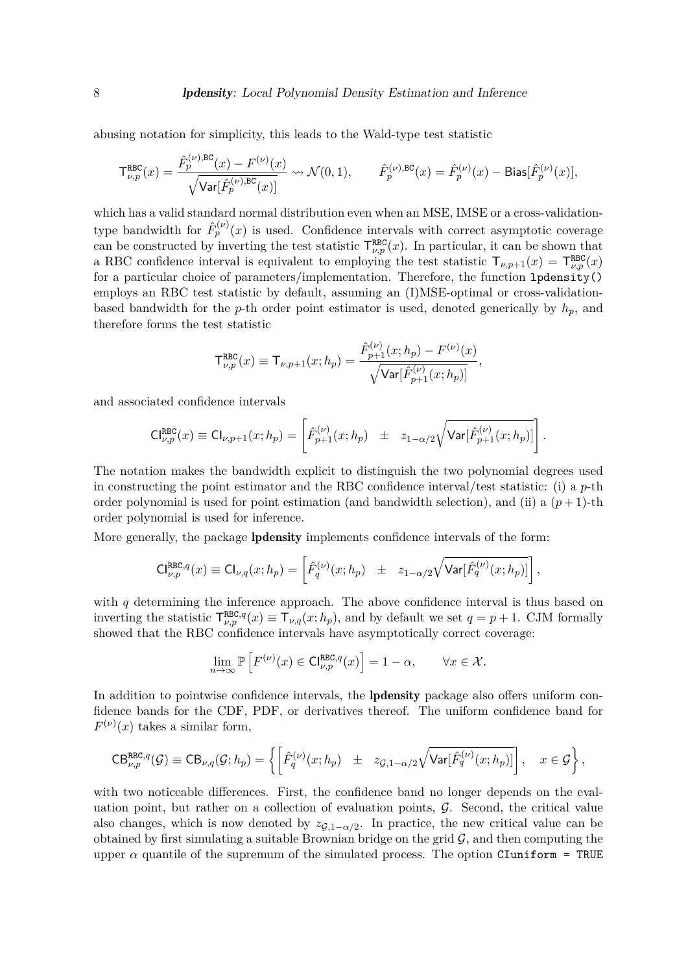abusing notation for simplicity, this leads to the Wald-type test statistic

$$
\mathsf{T}^{\mathtt{RBC}}_{\nu,p}(x)=\frac{\hat{F}^{(\nu),\mathtt{BC}}_p(x)-F^{(\nu)}(x)}{\sqrt{\mathsf{Var}[\hat{F}^{(\nu),\mathtt{BC}}_p(x)]}}\leadsto\mathcal{N}(0,1),\qquad \hat{F}^{(\nu),\mathtt{BC}}_p(x)=\hat{F}^{(\nu)}_p(x)-\mathrm{Bias}[\hat{F}^{(\nu)}_p(x)],
$$

which has a valid standard normal distribution even when an MSE, IMSE or a cross-validationtype bandwidth for  $\hat{F}_p^{(\nu)}(x)$  is used. Confidence intervals with correct asymptotic coverage can be constructed by inverting the test statistic  $\mathsf{T}^{RBC}_{\nu,p}(x)$ . In particular, it can be shown that a RBC confidence interval is equivalent to employing the test statistic  $\mathsf{T}_{\nu,p+1}(x) = \mathsf{T}_{\nu,p}^{\text{RBC}}(x)$ for a particular choice of parameters/implementation. Therefore, the function lpdensity() employs an RBC test statistic by default, assuming an (I)MSE-optimal or cross-validationbased bandwidth for the *p*-th order point estimator is used, denoted generically by  $h_p$ , and therefore forms the test statistic

$$
\mathsf{T}^{\tt RBC}_{\nu,p}(x) \equiv \mathsf{T}_{\nu,p+1}(x;h_p) = \frac{\hat{F}^{(\nu)}_{p+1}(x;h_p) - F^{(\nu)}(x)}{\sqrt{\mathsf{Var}[\hat{F}^{(\nu)}_{p+1}(x;h_p)]}},
$$

and associated confidence intervals

$$
\mathsf{CI}^{\tt RBC}_{\nu,p}(x) \equiv \mathsf{CI}_{\nu,p+1}(x;h_p) = \left[ \hat{F}^{(\nu)}_{p+1}(x;h_p) \pm z_{1-\alpha/2} \sqrt{\mathsf{Var}[\hat{F}^{(\nu)}_{p+1}(x;h_p)]} \right].
$$

The notation makes the bandwidth explicit to distinguish the two polynomial degrees used in constructing the point estimator and the RBC confidence interval/test statistic: (i) a *p*-th order polynomial is used for point estimation (and bandwidth selection), and (ii) a  $(p+1)$ -th order polynomial is used for inference.

More generally, the package **lpdensity** implements confidence intervals of the form:

$$
\mathsf{CI}^{\mathtt{RBC},q}_{\nu,p}(x) \equiv \mathsf{CI}_{\nu,q}(x;h_p) = \left[\hat{F}_q^{(\nu)}(x;h_p) \pm z_{1-\alpha/2}\sqrt{\mathsf{Var}[\hat{F}_q^{(\nu)}(x;h_p)]}\right],
$$

with  $q$  determining the inference approach. The above confidence interval is thus based on inverting the statistic  $\mathsf{T}^{\text{RBC},q}_{\nu,p}(x) \equiv \mathsf{T}_{\nu,q}(x;h_p)$ , and by default we set  $q = p + 1$ . CJM formally showed that the RBC confidence intervals have asymptotically correct coverage:

$$
\lim_{n \to \infty} \mathbb{P}\left[ F^{(\nu)}(x) \in \mathrm{Cl}_{\nu, p}^{\mathrm{RBC}, q}(x) \right] = 1 - \alpha, \qquad \forall x \in \mathcal{X}.
$$

In addition to pointwise confidence intervals, the **lpdensity** package also offers uniform confidence bands for the CDF, PDF, or derivatives thereof. The uniform confidence band for  $F^{(\nu)}(x)$  takes a similar form,

$$
\mathrm{CB}^{\mathrm{RBC},q}_{\nu,p}(\mathcal{G})\equiv\mathrm{CB}_{\nu,q}(\mathcal{G};h_p)=\left\{\left[\hat{F}_q^{(\nu)}(x;h_p)~\pm~z_{\mathcal{G},1-\alpha/2}\sqrt{\mathrm{Var}[\hat{F}_q^{(\nu)}(x;h_p)]}\right],\quad x\in\mathcal{G}\right\},
$$

with two noticeable differences. First, the confidence band no longer depends on the evaluation point, but rather on a collection of evaluation points,  $\mathcal{G}$ . Second, the critical value also changes, which is now denoted by  $z_{\mathcal{G},1-\alpha/2}$ . In practice, the new critical value can be obtained by first simulating a suitable Brownian bridge on the grid  $\mathcal{G}$ , and then computing the upper  $\alpha$  quantile of the supremum of the simulated process. The option CIuniform = TRUE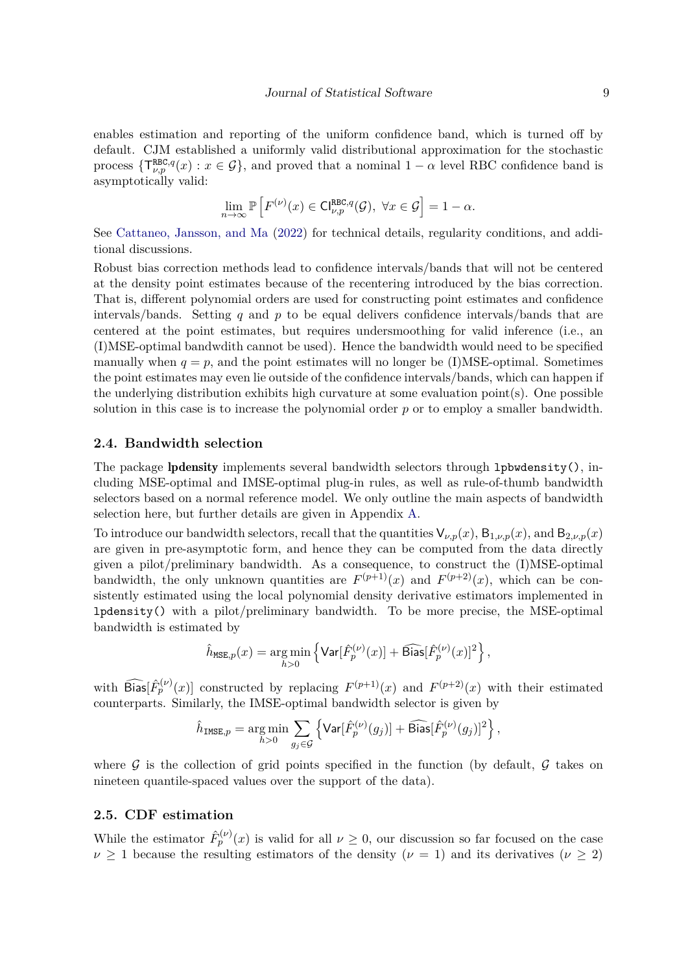enables estimation and reporting of the uniform confidence band, which is turned off by default. CJM established a uniformly valid distributional approximation for the stochastic process  $\{\mathsf{T}^{\text{RBC},q}_{\nu,p}(x): x \in \mathcal{G}\}$ , and proved that a nominal  $1-\alpha$  level RBC confidence band is asymptotically valid:

$$
\lim_{n\to\infty}\mathbb{P}\left[F^{(\nu)}(x)\in\mathsf{Cl}_{\nu,p}^{\mathsf{RBC},q}(\mathcal{G}),\ \forall x\in\mathcal{G}\right]=1-\alpha.
$$

See [Cattaneo, Jansson, and Ma](#page-18-1) [\(2022\)](#page-18-1) for technical details, regularity conditions, and additional discussions.

Robust bias correction methods lead to confidence intervals/bands that will not be centered at the density point estimates because of the recentering introduced by the bias correction. That is, different polynomial orders are used for constructing point estimates and confidence intervals/bands. Setting *q* and *p* to be equal delivers confidence intervals/bands that are centered at the point estimates, but requires undersmoothing for valid inference (i.e., an (I)MSE-optimal bandwdith cannot be used). Hence the bandwidth would need to be specified manually when  $q = p$ , and the point estimates will no longer be (I)MSE-optimal. Sometimes the point estimates may even lie outside of the confidence intervals/bands, which can happen if the underlying distribution exhibits high curvature at some evaluation point(s). One possible solution in this case is to increase the polynomial order *p* or to employ a smaller bandwidth.

#### **2.4. Bandwidth selection**

The package lpdensity implements several bandwidth selectors through lpbwdensity(), including MSE-optimal and IMSE-optimal plug-in rules, as well as rule-of-thumb bandwidth selectors based on a normal reference model. We only outline the main aspects of bandwidth selection here, but further details are given in Appendix [A.](#page-20-0)

To introduce our bandwidth selectors, recall that the quantities  $V_{\nu,p}(x)$ ,  $B_{1,\nu,p}(x)$ , and  $B_{2,\nu,p}(x)$ are given in pre-asymptotic form, and hence they can be computed from the data directly given a pilot/preliminary bandwidth. As a consequence, to construct the (I)MSE-optimal bandwidth, the only unknown quantities are  $F^{(p+1)}(x)$  and  $F^{(p+2)}(x)$ , which can be consistently estimated using the local polynomial density derivative estimators implemented in lpdensity() with a pilot/preliminary bandwidth. To be more precise, the MSE-optimal bandwidth is estimated by

$$
\hat{h}_{\texttt{MSE},p}(x) = \underset{h > 0}{\arg\min} \left\{ \texttt{Var}[\hat{F}^{(\nu)}_p(x)] + \widehat{\texttt{Bias}}[\hat{F}^{(\nu)}_p(x)]^2 \right\},
$$

with  $\widehat{\text{Bias}}[\hat{F}_p^{(\nu)}(x)]$  constructed by replacing  $F^{(p+1)}(x)$  and  $F^{(p+2)}(x)$  with their estimated counterparts. Similarly, the IMSE-optimal bandwidth selector is given by

$$
\hat{h}_{\text{IMSE},p} = \underset{h>0}{\arg\min} \sum_{g_j \in \mathcal{G}} \left\{ \text{Var}[\hat{F}_p^{(\nu)}(g_j)] + \widehat{\text{Bias}}[\hat{F}_p^{(\nu)}(g_j)]^2 \right\},\,
$$

where G is the collection of grid points specified in the function (by default, G takes on nineteen quantile-spaced values over the support of the data).

#### **2.5. CDF estimation**

While the estimator  $\hat{F}_p^{(\nu)}(x)$  is valid for all  $\nu \geq 0$ , our discussion so far focused on the case  $\nu \geq 1$  because the resulting estimators of the density ( $\nu = 1$ ) and its derivatives ( $\nu \geq 2$ )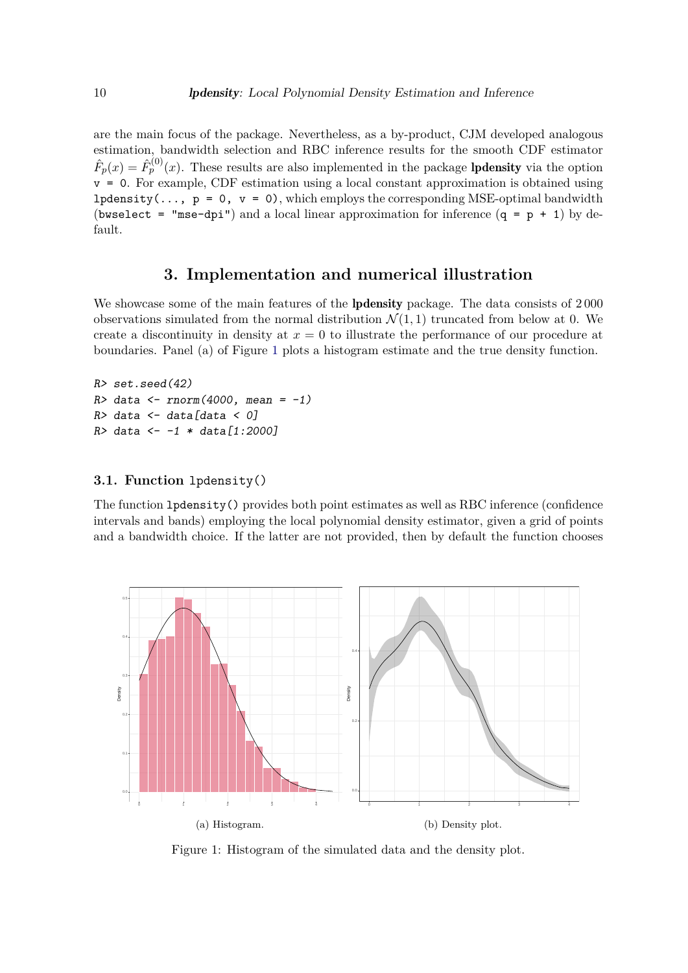are the main focus of the package. Nevertheless, as a by-product, CJM developed analogous estimation, bandwidth selection and RBC inference results for the smooth CDF estimator  $\hat{F}_p(x) = \hat{F}_p^{(0)}(x)$ . These results are also implemented in the package **lpdensity** via the option  $v = 0$ . For example, CDF estimation using a local constant approximation is obtained using lpdensity(...,  $p = 0$ ,  $v = 0$ ), which employs the corresponding MSE-optimal bandwidth (bwselect = "mse-dpi") and a local linear approximation for inference  $(q = p + 1)$  by default.

# **3. Implementation and numerical illustration**

<span id="page-9-0"></span>We showcase some of the main features of the **lpdensity** package. The data consists of 2000 observations simulated from the normal distribution  $\mathcal{N}(1,1)$  truncated from below at 0. We create a discontinuity in density at  $x = 0$  to illustrate the performance of our procedure at boundaries. Panel (a) of Figure [1](#page-9-1) plots a histogram estimate and the true density function.

```
R> set.seed(42)
R> data <- rnorm(4000, mean = -1)
R> data <- data[data < 0]
R> data <- -1 * data[1:2000]
```
#### **3.1. Function** lpdensity()

The function lpdensity() provides both point estimates as well as RBC inference (confidence intervals and bands) employing the local polynomial density estimator, given a grid of points and a bandwidth choice. If the latter are not provided, then by default the function chooses

<span id="page-9-1"></span>

Figure 1: Histogram of the simulated data and the density plot.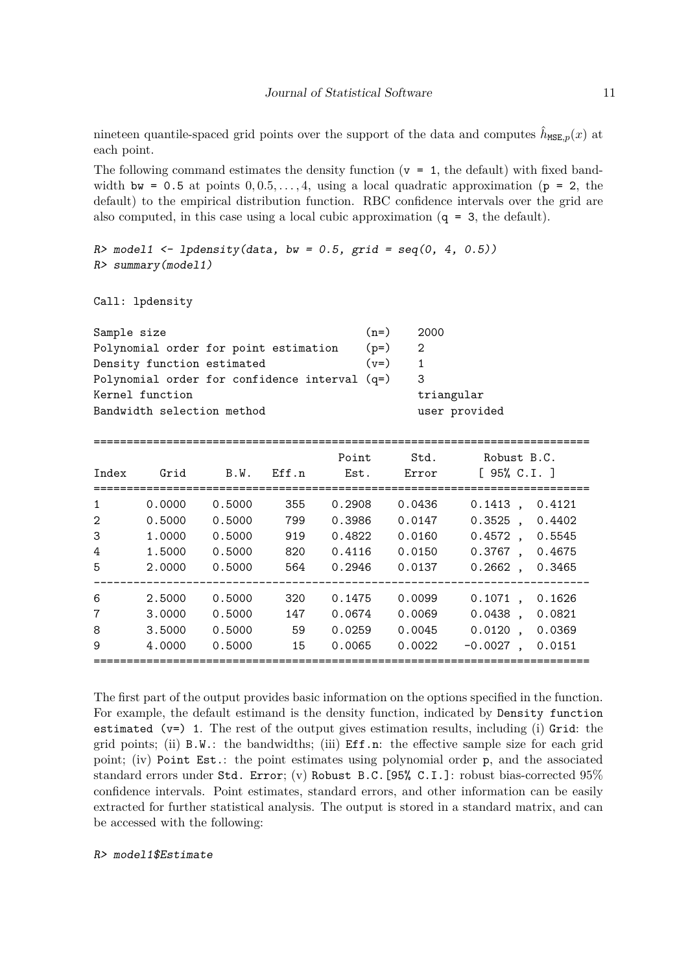nineteen quantile-spaced grid points over the support of the data and computes  $\hat{h}_{\text{MSE},p}(x)$  at each point.

The following command estimates the density function  $(v = 1$ , the default) with fixed bandwidth  $bw = 0.5$  at points  $0, 0.5, \ldots, 4$ , using a local quadratic approximation ( $p = 2$ , the default) to the empirical distribution function. RBC confidence intervals over the grid are also computed, in this case using a local cubic approximation  $(q = 3,$  the default).

```
R model1 <- lpdensity(data, bw = 0.5, grid = seq(0, 4, 0.5))
R> summary(model1)
```
Call: lpdensity

| Sample size                                   | $(n=)$ | -2000         |
|-----------------------------------------------|--------|---------------|
| Polynomial order for point estimation         | $(p=)$ | -2            |
| Density function estimated                    | $(v=)$ |               |
| Polynomial order for confidence interval (q=) |        | 3             |
| Kernel function                               |        | triangular    |
| Bandwidth selection method                    |        | user provided |

| Index                                         | Grid                                           | B.W.                                           | F.ff.n                          | Point<br>Est.                                  | Std.<br>Error                                  | Robust B.C.<br>[ 95% C.I. ]                                                                                          |
|-----------------------------------------------|------------------------------------------------|------------------------------------------------|---------------------------------|------------------------------------------------|------------------------------------------------|----------------------------------------------------------------------------------------------------------------------|
| $\mathbf{1}$<br>$\mathfrak{D}$<br>3<br>4<br>5 | 0.0000<br>0.5000<br>1.0000<br>1.5000<br>2.0000 | 0.5000<br>0.5000<br>0.5000<br>0.5000<br>0.5000 | 355<br>799<br>919<br>820<br>564 | 0.2908<br>0.3986<br>0.4822<br>0.4116<br>0.2946 | 0.0436<br>0.0147<br>0.0160<br>0.0150<br>0.0137 | $0.1413$ ,<br>0.4121<br>$0.3525$ .<br>0.4402<br>$0.4572$ .<br>0.5545<br>$0.3767$ .<br>0.4675<br>$0.2662$ ,<br>0.3465 |
| 6<br>7<br>8<br>9                              | 2.5000<br>3,0000<br>3.5000<br>4.0000           | 0.5000<br>0.5000<br>0.5000<br>0.5000           | 320<br>147<br>59<br>15          | 0.1475<br>0.0674<br>0.0259<br>0.0065           | 0.0099<br>0.0069<br>0.0045<br>0.0022           | $0.1071$ .<br>0.1626<br>$0.0438$ .<br>0.0821<br>$0.0120$ .<br>0.0369<br>$-0.0027$ .<br>0.0151                        |

The first part of the output provides basic information on the options specified in the function. For example, the default estimand is the density function, indicated by Density function estimated  $(v=)$  1. The rest of the output gives estimation results, including (i) Grid: the grid points; (ii)  $B.W.:$  the bandwidths; (iii)  $Eff.n.:$  the effective sample size for each grid point; (iv) Point Est.: the point estimates using polynomial order p, and the associated standard errors under Std. Error; (v) Robust B.C.[95% C.I.]: robust bias-corrected 95% confidence intervals. Point estimates, standard errors, and other information can be easily extracted for further statistical analysis. The output is stored in a standard matrix, and can be accessed with the following:

R> model1\$Estimate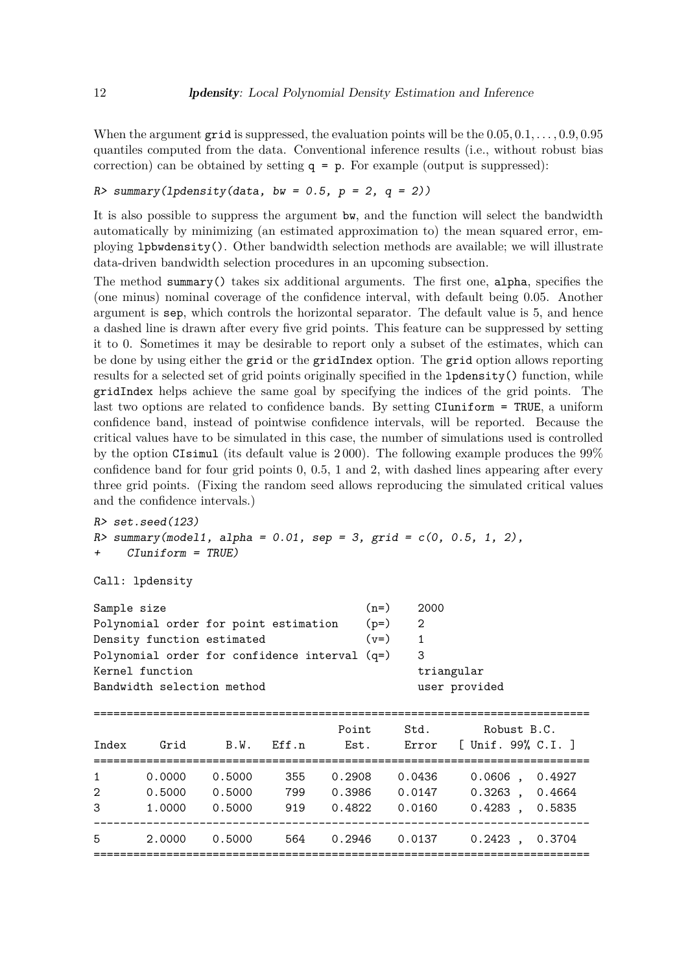When the argument grid is suppressed, the evaluation points will be the 0*.*05*,* 0*.*1*, . . . ,* 0*.*9*,* 0*.*95 quantiles computed from the data. Conventional inference results (i.e., without robust bias correction) can be obtained by setting  $q = p$ . For example (output is suppressed):

R> summary(lpdensity(data, bw =  $0.5$ , p = 2, q = 2))

It is also possible to suppress the argument bw, and the function will select the bandwidth automatically by minimizing (an estimated approximation to) the mean squared error, employing lpbwdensity(). Other bandwidth selection methods are available; we will illustrate data-driven bandwidth selection procedures in an upcoming subsection.

The method summary() takes six additional arguments. The first one, alpha, specifies the (one minus) nominal coverage of the confidence interval, with default being 0.05. Another argument is sep, which controls the horizontal separator. The default value is 5, and hence a dashed line is drawn after every five grid points. This feature can be suppressed by setting it to 0. Sometimes it may be desirable to report only a subset of the estimates, which can be done by using either the grid or the gridIndex option. The grid option allows reporting results for a selected set of grid points originally specified in the lpdensity() function, while gridIndex helps achieve the same goal by specifying the indices of the grid points. The last two options are related to confidence bands. By setting CIuniform = TRUE, a uniform confidence band, instead of pointwise confidence intervals, will be reported. Because the critical values have to be simulated in this case, the number of simulations used is controlled by the option CIsimul (its default value is 2 000). The following example produces the 99% confidence band for four grid points 0, 0*.*5, 1 and 2, with dashed lines appearing after every three grid points. (Fixing the random seed allows reproducing the simulated critical values and the confidence intervals.)

R> set.seed(123)

 $R$  summary(model1, alpha = 0.01, sep = 3, grid =  $c(0, 0.5, 1, 2)$ , + CIuniform = TRUE)

```
Call: lpdensity
```

| $(n=)$ | 2000                                            |
|--------|-------------------------------------------------|
| $(p=)$ | -2                                              |
| $(v=)$ |                                                 |
|        |                                                 |
|        | triangular                                      |
|        | user provided                                   |
|        | Polynomial order for confidence interval $(q=)$ |

| Index                               | Grid                       | B.W.                       | Eff.n             | Point<br>Est.              | Std.<br>Error              | Robust B.C.<br>[ Unif. 99% C.I. ]                        |  |
|-------------------------------------|----------------------------|----------------------------|-------------------|----------------------------|----------------------------|----------------------------------------------------------|--|
| $\mathbf{1}$<br>$\overline{2}$<br>3 | 0.0000<br>0.5000<br>1,0000 | 0.5000<br>0.5000<br>0.5000 | 355<br>799<br>919 | 0.2908<br>0.3986<br>0.4822 | 0.0436<br>0.0147<br>0.0160 | 0.0606<br>0.4927<br>0.3263<br>0.4664<br>0.4283<br>0.5835 |  |
| 5                                   | 2.0000                     | 0.5000                     | 564               | 0.2946                     | 0.0137                     | 0.2423<br>0.3704                                         |  |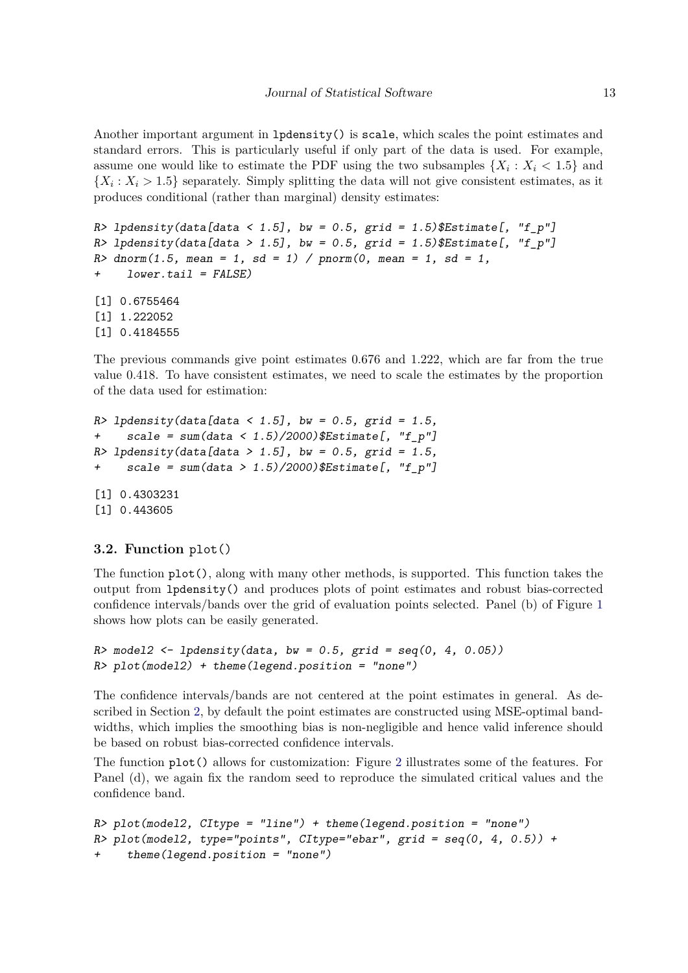Another important argument in lpdensity() is scale, which scales the point estimates and standard errors. This is particularly useful if only part of the data is used. For example, assume one would like to estimate the PDF using the two subsamples  $\{X_i: X_i \leq 1.5\}$  and  ${X_i : X_i > 1.5}$  separately. Simply splitting the data will not give consistent estimates, as it produces conditional (rather than marginal) density estimates:

```
R> lpdensity(data[data < 1.5], bw = 0.5, grid = 1.5) $Estimate[, "f_p"]
R> lpdensity(data[data > 1.5], bw = 0.5, grid = 1.5)$Estimate[, "f_p"]
R > dnorm(1.5, mean = 1, sd = 1) / pnorm(0, mean = 1, sd = 1,
+ lower.tail = FALSE)
[1] 0.6755464
[1] 1.222052
[1] 0.4184555
```
The previous commands give point estimates 0*.*676 and 1*.*222, which are far from the true value 0*.*418. To have consistent estimates, we need to scale the estimates by the proportion of the data used for estimation:

```
R> lpdensity(data[data < 1.5], bw = 0.5, grid = 1.5,
+ scale = sum(data < 1.5)/2000)$Estimate[, "f_p"]
R> lpdensity(data[data > 1.5], bw = 0.5, grid = 1.5,
+ scale = sum(data > 1.5)/2000)$Estimate[, "f_p"]
[1] 0.4303231
[1] 0.443605
```
#### **3.2. Function** plot()

The function  $plot()$ , along with many other methods, is supported. This function takes the output from lpdensity() and produces plots of point estimates and robust bias-corrected confidence intervals/bands over the grid of evaluation points selected. Panel (b) of Figure [1](#page-9-1) shows how plots can be easily generated.

```
R> model2 \leftarrow lpdensity(data, bw = 0.5, grid = seq(0, 4, 0.05))
R> plot(model2) + theme(legend.position = "none")
```
The confidence intervals/bands are not centered at the point estimates in general. As described in Section [2,](#page-2-0) by default the point estimates are constructed using MSE-optimal bandwidths, which implies the smoothing bias is non-negligible and hence valid inference should be based on robust bias-corrected confidence intervals.

The function plot() allows for customization: Figure [2](#page-13-0) illustrates some of the features. For Panel (d), we again fix the random seed to reproduce the simulated critical values and the confidence band.

```
R> plot(model12, CItype = "line") + theme(legend. position = "none")R> plot(model2, type="points", CItype="ebar", grid = seq(0, 4, 0.5)) +
     theme(legend. position = "none")
```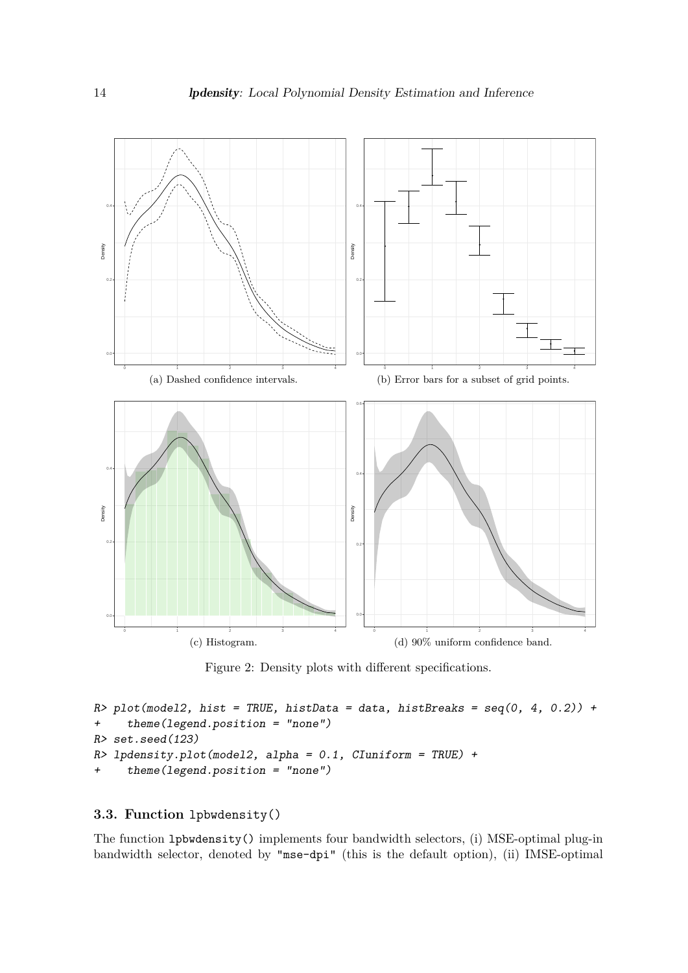<span id="page-13-0"></span>

Figure 2: Density plots with different specifications.

```
R> plot(model2, hist = TRUE, histData = data, histBreaks = seq(0, 4, 0.2)) +
+ theme(legend.position = "none")
R> set.seed(123)
R> lpdensity.plot(model2, alpha = 0.1, CIuniform = TRUE) +
     \tt theme(legend. position = "none")
```
#### **3.3. Function** lpbwdensity()

The function lpbwdensity() implements four bandwidth selectors, (i) MSE-optimal plug-in bandwidth selector, denoted by "mse-dpi" (this is the default option), (ii) IMSE-optimal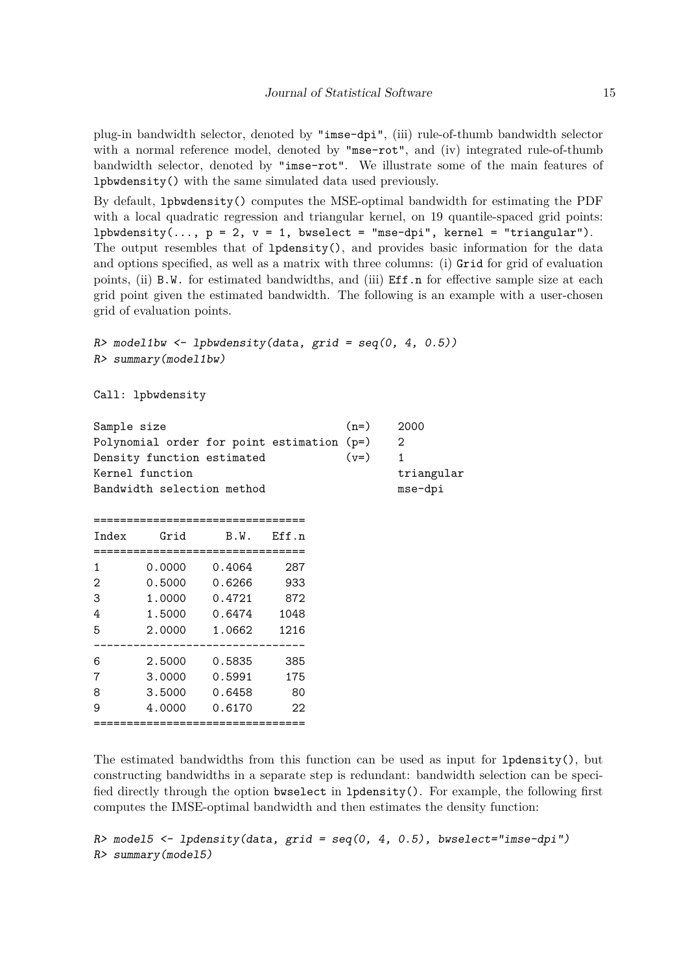plug-in bandwidth selector, denoted by "imse-dpi", (iii) rule-of-thumb bandwidth selector with a normal reference model, denoted by "mse-rot", and (iv) integrated rule-of-thumb bandwidth selector, denoted by "imse-rot". We illustrate some of the main features of lpbwdensity() with the same simulated data used previously.

By default, lpbwdensity() computes the MSE-optimal bandwidth for estimating the PDF with a local quadratic regression and triangular kernel, on 19 quantile-spaced grid points: lpbwdensity(...,  $p = 2$ ,  $v = 1$ , bwselect = "mse-dpi", kernel = "triangular"). The output resembles that of lpdensity(), and provides basic information for the data and options specified, as well as a matrix with three columns: (i) Grid for grid of evaluation points, (ii) B.W. for estimated bandwidths, and (iii) Eff.n for effective sample size at each grid point given the estimated bandwidth. The following is an example with a user-chosen grid of evaluation points.

```
R model1bw \leftarrow lpbwdensity(data, grid = seq(0, 4, 0.5))
R> summary(model1bw)
```
Call: lpbwdensity

| Sample size                        | Kernel function  | Density function estimated                                                | Polynomial order for point estimation (p=) | $(n=)$<br>$(v=)$ | 2000<br>2<br>1<br>triangular |
|------------------------------------|------------------|---------------------------------------------------------------------------|--------------------------------------------|------------------|------------------------------|
| Bandwidth selection method         |                  | mse-dpi                                                                   |                                            |                  |                              |
| Index                              | Grid             | B.W.                                                                      | F.ff.n                                     |                  |                              |
| 1<br>$\overline{2}$<br>3<br>4<br>5 | 0.0000<br>2.0000 | 0.4064<br>$0.5000$ $0.6266$<br>1.0000 0.4721<br>1.5000   0.6474<br>1.0662 | 287<br>933<br>872<br>1048<br>1216          |                  |                              |
|                                    |                  |                                                                           |                                            |                  |                              |

-------------------------------- 6 2.5000 0.5835 385 7 3.0000 0.5991 175 8 3.5000 0.6458 80 9 4.0000 0.6170 22

===================================

The estimated bandwidths from this function can be used as input for lpdensity(), but constructing bandwidths in a separate step is redundant: bandwidth selection can be specified directly through the option bwselect in lpdensity(). For example, the following first computes the IMSE-optimal bandwidth and then estimates the density function:

 $R$ > model5 <- lpdensity(data, grid = seq(0, 4, 0.5), bwselect="imse-dpi") R> summary(model5)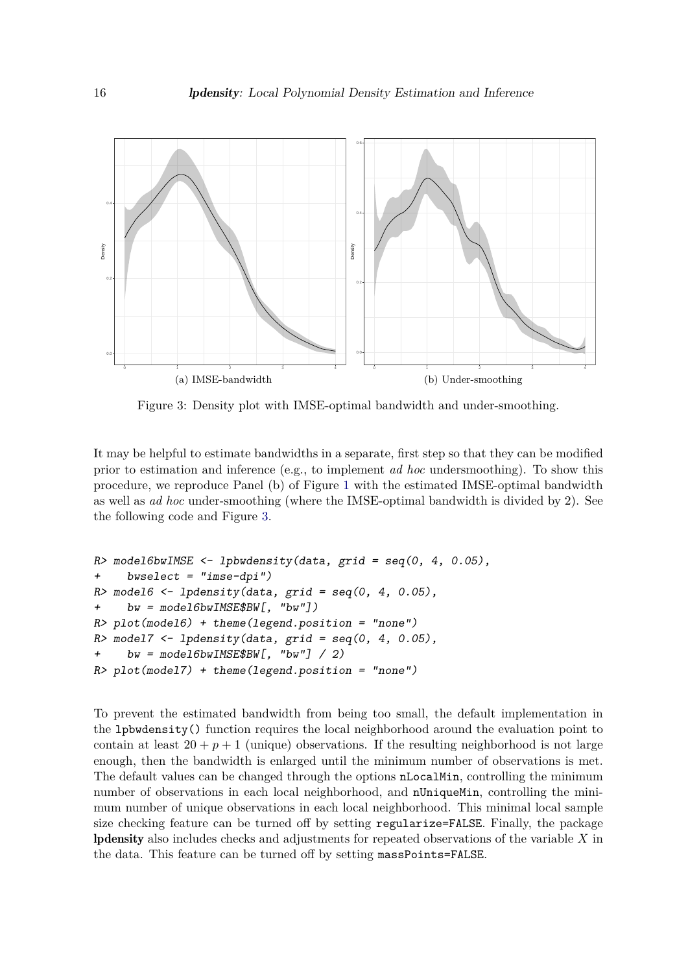<span id="page-15-0"></span>

Figure 3: Density plot with IMSE-optimal bandwidth and under-smoothing.

It may be helpful to estimate bandwidths in a separate, first step so that they can be modified prior to estimation and inference (e.g., to implement *ad hoc* undersmoothing). To show this procedure, we reproduce Panel (b) of Figure [1](#page-9-1) with the estimated IMSE-optimal bandwidth as well as *ad hoc* under-smoothing (where the IMSE-optimal bandwidth is divided by 2). See the following code and Figure [3.](#page-15-0)

```
R model6bwIMSE <- lpbwdensity(data, grid = seq(0, 4, 0.05),
+ bwselect = "imse-dpi")
R> model6 <- lpdensity(data, grid = seq(0, 4, 0.05),
+ bw = model6bwIMSE$BW[, "bw"])
R> plot(model6) + theme(legend.position = "none")
R> model7 <- lpdensity(data, grid = seq(0, 4, 0.05),
+ bw = model6bwIMSE$BW[, "bw"] / 2)
R> plot(model7) + theme(legend.position = "none")
```
To prevent the estimated bandwidth from being too small, the default implementation in the lpbwdensity() function requires the local neighborhood around the evaluation point to contain at least  $20 + p + 1$  (unique) observations. If the resulting neighborhood is not large enough, then the bandwidth is enlarged until the minimum number of observations is met. The default values can be changed through the options nLocalMin, controlling the minimum number of observations in each local neighborhood, and nUniqueMin, controlling the minimum number of unique observations in each local neighborhood. This minimal local sample size checking feature can be turned off by setting regularize=FALSE. Finally, the package lpdensity also includes checks and adjustments for repeated observations of the variable *X* in the data. This feature can be turned off by setting massPoints=FALSE.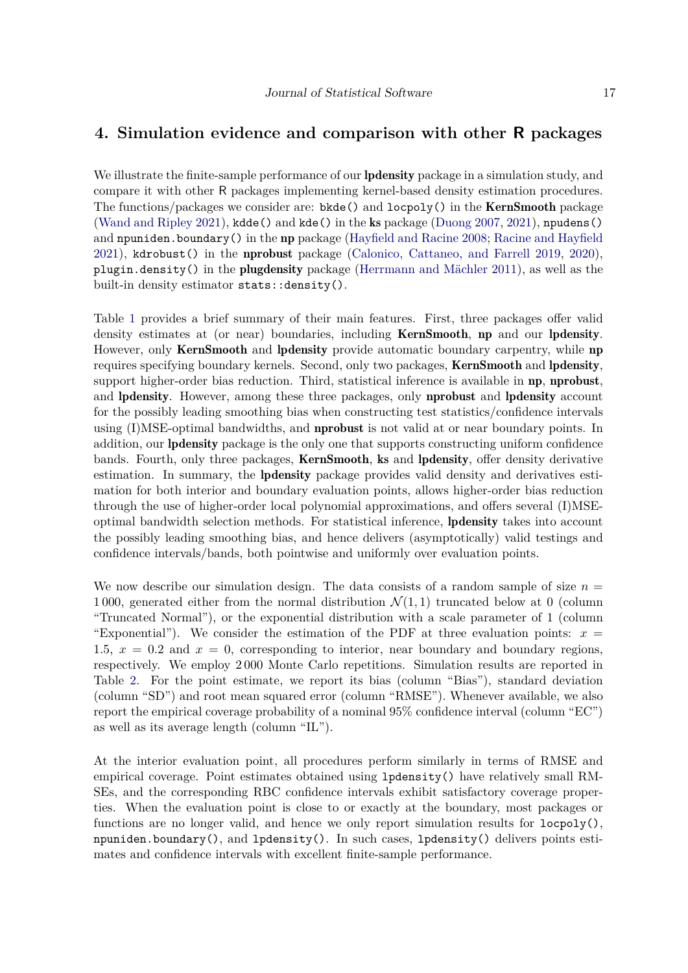# <span id="page-16-0"></span>**4. Simulation evidence and comparison with other R packages**

We illustrate the finite-sample performance of our **lpdensity** package in a simulation study, and compare it with other R packages implementing kernel-based density estimation procedures. The functions/packages we consider are:  $b$ kde() and  $locpoly($ ) in the **KernSmooth** package [\(Wand and Ripley](#page-19-4) [2021\)](#page-19-4), kdde() and kde() in the ks package [\(Duong](#page-18-8) [2007,](#page-18-8) [2021\)](#page-18-9), npudens() and npuniden.boundary() in the np package [\(Hayfield and Racine](#page-18-10) [2008;](#page-18-10) [Racine and Hayfield](#page-18-11) [2021\)](#page-18-11), kdrobust() in the nprobust package [\(Calonico, Cattaneo, and Farrell](#page-18-12) [2019,](#page-18-12) [2020\)](#page-18-13), plugin.density() in the plugdensity package [\(Herrmann and Mächler](#page-18-14) [2011\)](#page-18-14), as well as the built-in density estimator stats::density().

Table [1](#page-3-0) provides a brief summary of their main features. First, three packages offer valid density estimates at (or near) boundaries, including KernSmooth, np and our lpdensity. However, only **KernSmooth** and **lpdensity** provide automatic boundary carpentry, while **np** requires specifying boundary kernels. Second, only two packages, KernSmooth and lpdensity, support higher-order bias reduction. Third, statistical inference is available in **np**, **nprobust**, and lpdensity. However, among these three packages, only nprobust and lpdensity account for the possibly leading smoothing bias when constructing test statistics/confidence intervals using (I)MSE-optimal bandwidths, and nprobust is not valid at or near boundary points. In addition, our lpdensity package is the only one that supports constructing uniform confidence bands. Fourth, only three packages, KernSmooth, ks and lpdensity, offer density derivative estimation. In summary, the lpdensity package provides valid density and derivatives estimation for both interior and boundary evaluation points, allows higher-order bias reduction through the use of higher-order local polynomial approximations, and offers several (I)MSEoptimal bandwidth selection methods. For statistical inference, lpdensity takes into account the possibly leading smoothing bias, and hence delivers (asymptotically) valid testings and confidence intervals/bands, both pointwise and uniformly over evaluation points.

We now describe our simulation design. The data consists of a random sample of size  $n =$ 1000, generated either from the normal distribution  $\mathcal{N}(1,1)$  truncated below at 0 (column "Truncated Normal"), or the exponential distribution with a scale parameter of 1 (column "Exponential"). We consider the estimation of the PDF at three evaluation points:  $x =$ 1.5,  $x = 0.2$  and  $x = 0$ , corresponding to interior, near boundary and boundary regions, respectively. We employ 2 000 Monte Carlo repetitions. Simulation results are reported in Table [2.](#page-17-1) For the point estimate, we report its bias (column "Bias"), standard deviation (column "SD") and root mean squared error (column "RMSE"). Whenever available, we also report the empirical coverage probability of a nominal 95% confidence interval (column "EC") as well as its average length (column "IL").

At the interior evaluation point, all procedures perform similarly in terms of RMSE and empirical coverage. Point estimates obtained using lpdensity() have relatively small RM-SEs, and the corresponding RBC confidence intervals exhibit satisfactory coverage properties. When the evaluation point is close to or exactly at the boundary, most packages or functions are no longer valid, and hence we only report simulation results for  $loop(y)$ , npuniden.boundary(), and lpdensity(). In such cases, lpdensity() delivers points estimates and confidence intervals with excellent finite-sample performance.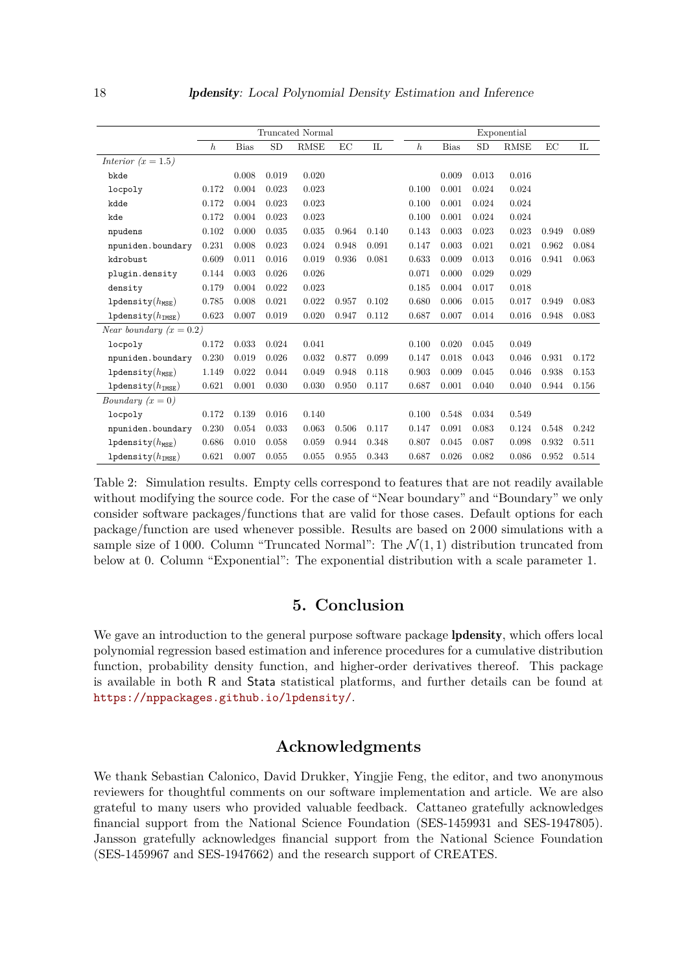<span id="page-17-1"></span>

|                                  |                  |             |       | Truncated Normal |       |             |                  |             |           | Exponential |       |       |
|----------------------------------|------------------|-------------|-------|------------------|-------|-------------|------------------|-------------|-----------|-------------|-------|-------|
|                                  | $\boldsymbol{h}$ | <b>Bias</b> | SD    | <b>RMSE</b>      | EС    | $_{\rm IL}$ | $\boldsymbol{h}$ | <b>Bias</b> | <b>SD</b> | <b>RMSE</b> | EC    | IL    |
| Interior $(x = 1.5)$             |                  |             |       |                  |       |             |                  |             |           |             |       |       |
| bkde                             |                  | 0.008       | 0.019 | 0.020            |       |             |                  | 0.009       | 0.013     | 0.016       |       |       |
| locpoly                          | 0.172            | 0.004       | 0.023 | 0.023            |       |             | 0.100            | 0.001       | 0.024     | 0.024       |       |       |
| kdde                             | 0.172            | 0.004       | 0.023 | 0.023            |       |             | 0.100            | 0.001       | 0.024     | 0.024       |       |       |
| kde                              | 0.172            | 0.004       | 0.023 | 0.023            |       |             | 0.100            | 0.001       | 0.024     | 0.024       |       |       |
| npudens                          | 0.102            | 0.000       | 0.035 | 0.035            | 0.964 | 0.140       | 0.143            | 0.003       | 0.023     | 0.023       | 0.949 | 0.089 |
| npuniden.boundary                | 0.231            | 0.008       | 0.023 | 0.024            | 0.948 | 0.091       | 0.147            | 0.003       | 0.021     | 0.021       | 0.962 | 0.084 |
| kdrobust                         | 0.609            | 0.011       | 0.016 | 0.019            | 0.936 | 0.081       | 0.633            | 0.009       | 0.013     | 0.016       | 0.941 | 0.063 |
| plugin.density                   | 0.144            | 0.003       | 0.026 | 0.026            |       |             | 0.071            | 0.000       | 0.029     | 0.029       |       |       |
| density                          | 0.179            | 0.004       | 0.022 | 0.023            |       |             | 0.185            | 0.004       | 0.017     | 0.018       |       |       |
| $1$ pdensity $(h_{MSE})$         | 0.785            | 0.008       | 0.021 | 0.022            | 0.957 | 0.102       | 0.680            | 0.006       | 0.015     | 0.017       | 0.949 | 0.083 |
| $1$ pdensity $(h_{\text{IMSE}})$ | 0.623            | 0.007       | 0.019 | 0.020            | 0.947 | 0.112       | 0.687            | 0.007       | 0.014     | 0.016       | 0.948 | 0.083 |
| Near boundary $(x = 0.2)$        |                  |             |       |                  |       |             |                  |             |           |             |       |       |
| locpoly                          | 0.172            | 0.033       | 0.024 | 0.041            |       |             | 0.100            | 0.020       | 0.045     | 0.049       |       |       |
| npuniden.boundary                | 0.230            | 0.019       | 0.026 | 0.032            | 0.877 | 0.099       | 0.147            | 0.018       | 0.043     | 0.046       | 0.931 | 0.172 |
| 1pdensity $(h_{\text{MSE}})$     | 1.149            | 0.022       | 0.044 | 0.049            | 0.948 | 0.118       | 0.903            | 0.009       | 0.045     | 0.046       | 0.938 | 0.153 |
| 1pdensity $(h_{\text{IMSE}})$    | 0.621            | 0.001       | 0.030 | 0.030            | 0.950 | 0.117       | 0.687            | 0.001       | 0.040     | 0.040       | 0.944 | 0.156 |
| <i>Boundary</i> $(x = 0)$        |                  |             |       |                  |       |             |                  |             |           |             |       |       |
| locpoly                          | 0.172            | 0.139       | 0.016 | 0.140            |       |             | 0.100            | 0.548       | 0.034     | 0.549       |       |       |
| npuniden.boundary                | 0.230            | 0.054       | 0.033 | 0.063            | 0.506 | 0.117       | 0.147            | 0.091       | 0.083     | 0.124       | 0.548 | 0.242 |
| $1$ pdensity $(h_{MSE})$         | 0.686            | 0.010       | 0.058 | 0.059            | 0.944 | 0.348       | 0.807            | 0.045       | 0.087     | 0.098       | 0.932 | 0.511 |
| 1pdensity $(h_{\text{IMSE}})$    | 0.621            | 0.007       | 0.055 | 0.055            | 0.955 | 0.343       | 0.687            | 0.026       | 0.082     | 0.086       | 0.952 | 0.514 |

Table 2: Simulation results. Empty cells correspond to features that are not readily available without modifying the source code. For the case of "Near boundary" and "Boundary" we only consider software packages/functions that are valid for those cases. Default options for each package/function are used whenever possible. Results are based on 2 000 simulations with a sample size of 1000. Column "Truncated Normal": The  $\mathcal{N}(1,1)$  distribution truncated from below at 0. Column "Exponential": The exponential distribution with a scale parameter 1.

# **5. Conclusion**

<span id="page-17-0"></span>We gave an introduction to the general purpose software package **lpdensity**, which offers local polynomial regression based estimation and inference procedures for a cumulative distribution function, probability density function, and higher-order derivatives thereof. This package is available in both R and Stata statistical platforms, and further details can be found at <https://nppackages.github.io/lpdensity/>.

# **Acknowledgments**

We thank Sebastian Calonico, David Drukker, Yingjie Feng, the editor, and two anonymous reviewers for thoughtful comments on our software implementation and article. We are also grateful to many users who provided valuable feedback. Cattaneo gratefully acknowledges financial support from the National Science Foundation (SES-1459931 and SES-1947805). Jansson gratefully acknowledges financial support from the National Science Foundation (SES-1459967 and SES-1947662) and the research support of CREATES.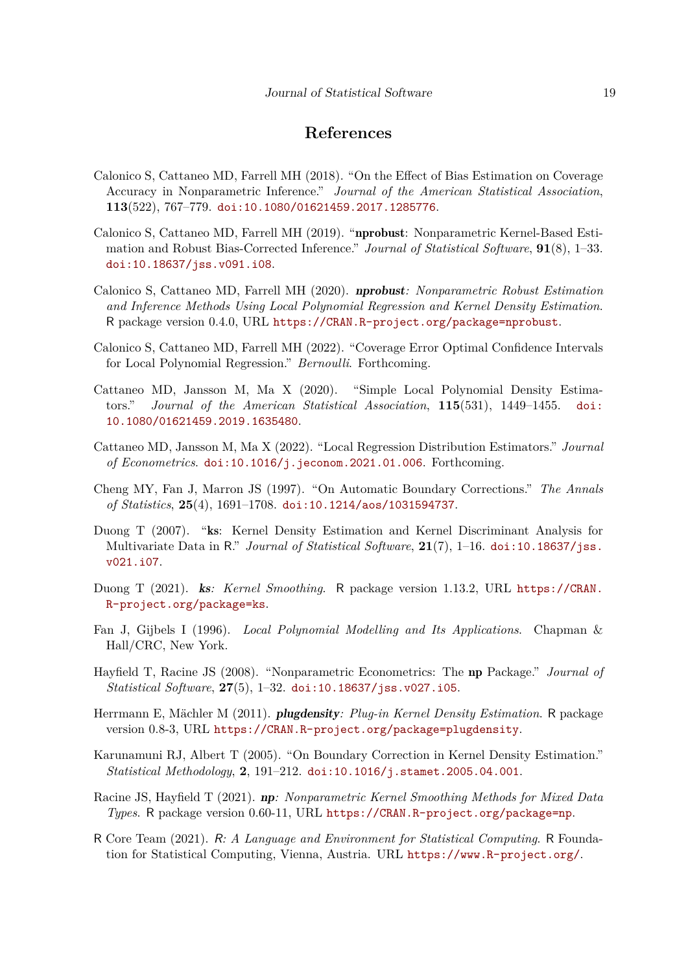# **References**

- <span id="page-18-6"></span>Calonico S, Cattaneo MD, Farrell MH (2018). "On the Effect of Bias Estimation on Coverage Accuracy in Nonparametric Inference." *Journal of the American Statistical Association*, **113**(522), 767–779. [doi:10.1080/01621459.2017.1285776](https://doi.org/10.1080/01621459.2017.1285776).
- <span id="page-18-12"></span>Calonico S, Cattaneo MD, Farrell MH (2019). "nprobust: Nonparametric Kernel-Based Estimation and Robust Bias-Corrected Inference." *Journal of Statistical Software*, **91**(8), 1–33. [doi:10.18637/jss.v091.i08](https://doi.org/10.18637/jss.v091.i08).
- <span id="page-18-13"></span>Calonico S, Cattaneo MD, Farrell MH (2020). nprobust*: Nonparametric Robust Estimation and Inference Methods Using Local Polynomial Regression and Kernel Density Estimation*. R package version 0.4.0, URL <https://CRAN.R-project.org/package=nprobust>.
- <span id="page-18-7"></span>Calonico S, Cattaneo MD, Farrell MH (2022). "Coverage Error Optimal Confidence Intervals for Local Polynomial Regression." *Bernoulli*. Forthcoming.
- <span id="page-18-0"></span>Cattaneo MD, Jansson M, Ma X (2020). "Simple Local Polynomial Density Estimators." *Journal of the American Statistical Association*, **115**(531), 1449–1455. [doi:](https://doi.org/10.1080/01621459.2019.1635480) [10.1080/01621459.2019.1635480](https://doi.org/10.1080/01621459.2019.1635480).
- <span id="page-18-1"></span>Cattaneo MD, Jansson M, Ma X (2022). "Local Regression Distribution Estimators." *Journal of Econometrics*. [doi:10.1016/j.jeconom.2021.01.006](https://doi.org/10.1016/j.jeconom.2021.01.006). Forthcoming.
- <span id="page-18-5"></span>Cheng MY, Fan J, Marron JS (1997). "On Automatic Boundary Corrections." *The Annals of Statistics*, **25**(4), 1691–1708. [doi:10.1214/aos/1031594737](https://doi.org/10.1214/aos/1031594737).
- <span id="page-18-8"></span>Duong T (2007). "ks: Kernel Density Estimation and Kernel Discriminant Analysis for Multivariate Data in R." *Journal of Statistical Software*, **21**(7), 1–16. [doi:10.18637/jss.](https://doi.org/10.18637/jss.v021.i07) [v021.i07](https://doi.org/10.18637/jss.v021.i07).
- <span id="page-18-9"></span>Duong T (2021). ks*: Kernel Smoothing*. R package version 1.13.2, URL [https://CRAN.](https://CRAN.R-project.org/package=ks) [R-project.org/package=ks](https://CRAN.R-project.org/package=ks).
- <span id="page-18-2"></span>Fan J, Gijbels I (1996). *Local Polynomial Modelling and Its Applications*. Chapman & Hall/CRC, New York.
- <span id="page-18-10"></span>Hayfield T, Racine JS (2008). "Nonparametric Econometrics: The np Package." *Journal of Statistical Software*, **27**(5), 1–32. [doi:10.18637/jss.v027.i05](https://doi.org/10.18637/jss.v027.i05).
- <span id="page-18-14"></span>Herrmann E, Mächler M (2011). plugdensity*: Plug-in Kernel Density Estimation*. R package version 0.8-3, URL <https://CRAN.R-project.org/package=plugdensity>.
- <span id="page-18-4"></span>Karunamuni RJ, Albert T (2005). "On Boundary Correction in Kernel Density Estimation." *Statistical Methodology*, **2**, 191–212. [doi:10.1016/j.stamet.2005.04.001](https://doi.org/10.1016/j.stamet.2005.04.001).
- <span id="page-18-11"></span>Racine JS, Hayfield T (2021). np*: Nonparametric Kernel Smoothing Methods for Mixed Data Types*. R package version 0.60-11, URL <https://CRAN.R-project.org/package=np>.
- <span id="page-18-3"></span>R Core Team (2021). R*: A Language and Environment for Statistical Computing*. R Foundation for Statistical Computing, Vienna, Austria. URL <https://www.R-project.org/>.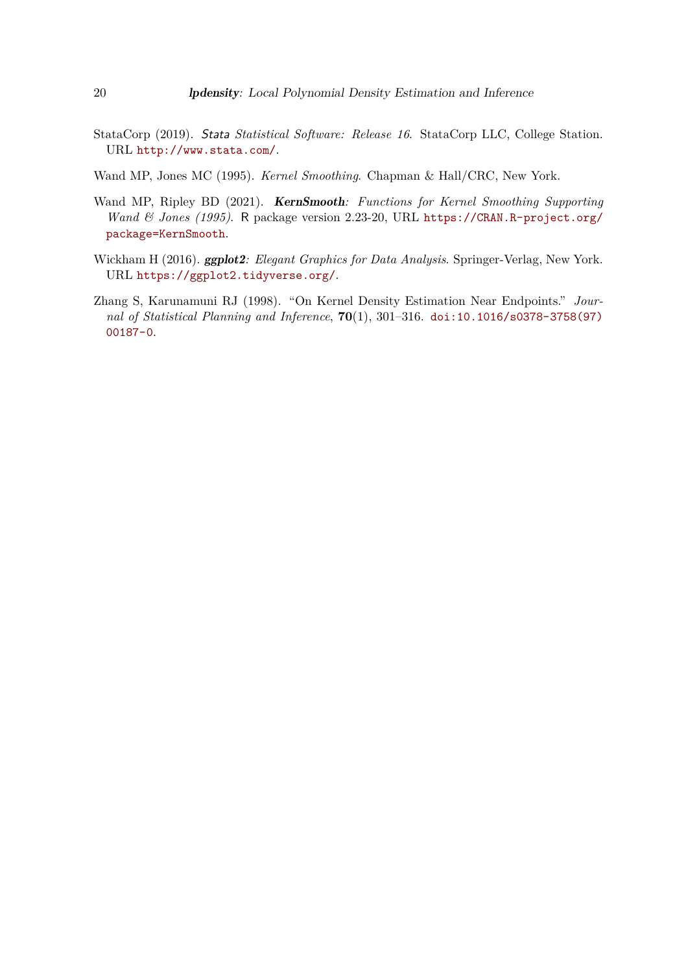- <span id="page-19-1"></span>StataCorp (2019). Stata *Statistical Software: Release 16*. StataCorp LLC, College Station. URL <http://www.stata.com/>.
- <span id="page-19-0"></span>Wand MP, Jones MC (1995). *Kernel Smoothing*. Chapman & Hall/CRC, New York.
- <span id="page-19-4"></span>Wand MP, Ripley BD (2021). KernSmooth*: Functions for Kernel Smoothing Supporting Wand & Jones (1995)*. R package version 2.23-20, URL [https://CRAN.R-project.org/](https://CRAN.R-project.org/package=KernSmooth) [package=KernSmooth](https://CRAN.R-project.org/package=KernSmooth).
- <span id="page-19-3"></span>Wickham H (2016). ggplot2*: Elegant Graphics for Data Analysis*. Springer-Verlag, New York. URL <https://ggplot2.tidyverse.org/>.
- <span id="page-19-2"></span>Zhang S, Karunamuni RJ (1998). "On Kernel Density Estimation Near Endpoints." *Journal of Statistical Planning and Inference*, **70**(1), 301–316. [doi:10.1016/s0378-3758\(97\)](https://doi.org/10.1016/s0378-3758(97)00187-0) [00187-0](https://doi.org/10.1016/s0378-3758(97)00187-0).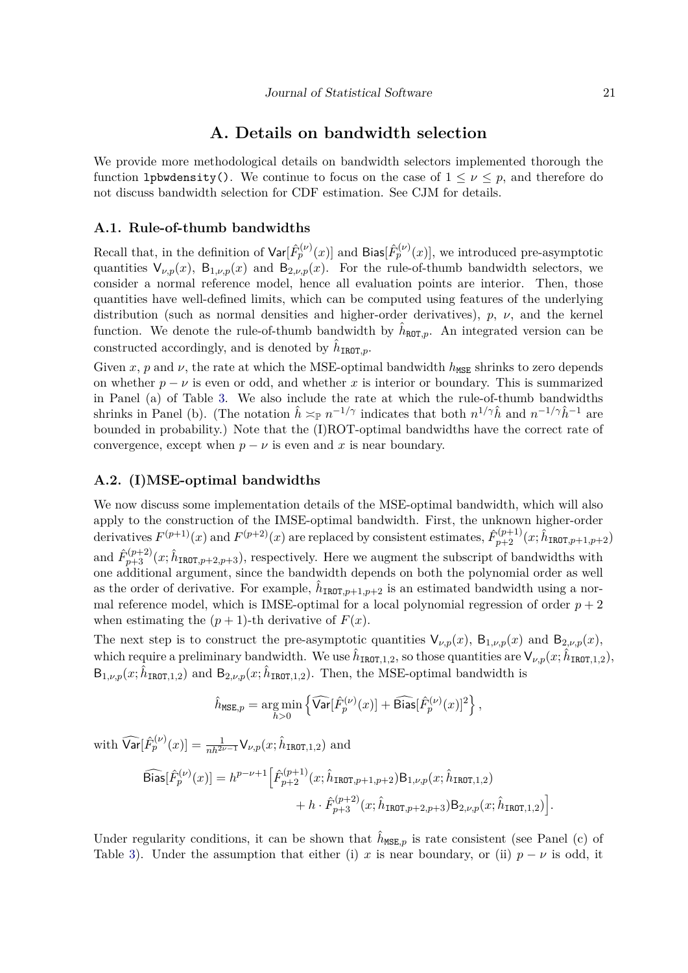#### **A. Details on bandwidth selection**

<span id="page-20-0"></span>We provide more methodological details on bandwidth selectors implemented thorough the function 1 pbwdensity(). We continue to focus on the case of  $1 \leq \nu \leq p$ , and therefore do not discuss bandwidth selection for CDF estimation. See CJM for details.

#### **A.1. Rule-of-thumb bandwidths**

Recall that, in the definition of  $\text{Var}[\hat{F}_p^{(\nu)}(x)]$  and  $\text{Bias}[\hat{F}_p^{(\nu)}(x)]$ , we introduced pre-asymptotic quantities  $V_{\nu,p}(x)$ ,  $B_{1,\nu,p}(x)$  and  $B_{2,\nu,p}(x)$ . For the rule-of-thumb bandwidth selectors, we consider a normal reference model, hence all evaluation points are interior. Then, those quantities have well-defined limits, which can be computed using features of the underlying distribution (such as normal densities and higher-order derivatives), *p*, *ν*, and the kernel function. We denote the rule-of-thumb bandwidth by  $\hat{h}_{\text{ROT},p}$ . An integrated version can be constructed accordingly, and is denoted by  $\hat{h}_{\text{IROT}, p}$ .

Given *x*, *p* and *v*, the rate at which the MSE-optimal bandwidth  $h_{\text{MSE}}$  shrinks to zero depends on whether  $p - \nu$  is even or odd, and whether x is interior or boundary. This is summarized in Panel (a) of Table [3.](#page-21-1) We also include the rate at which the rule-of-thumb bandwidths shrinks in Panel (b). (The notation  $\hat{h} \approx_{\mathbb{P}} n^{-1/\gamma}$  indicates that both  $n^{1/\gamma} \hat{h}$  and  $n^{-1/\gamma} \hat{h}^{-1}$  are bounded in probability.) Note that the (I)ROT-optimal bandwidths have the correct rate of convergence, except when  $p - \nu$  is even and x is near boundary.

#### **A.2. (I)MSE-optimal bandwidths**

We now discuss some implementation details of the MSE-optimal bandwidth, which will also apply to the construction of the IMSE-optimal bandwidth. First, the unknown higher-order derivatives  $F^{(p+1)}(x)$  and  $F^{(p+2)}(x)$  are replaced by consistent estimates,  $\hat{F}^{(p+1)}_{p+2}(x;\hat{h}_{IROT,p+1,p+2})$ and  $\hat{F}_{p+3}^{(p+2)}(x;\hat{h}_{\text{IROT},p+2,p+3})$ , respectively. Here we augment the subscript of bandwidths with one additional argument, since the bandwidth depends on both the polynomial order as well as the order of derivative. For example,  $\hat{h}_{IROT,p+1,p+2}$  is an estimated bandwidth using a normal reference model, which is IMSE-optimal for a local polynomial regression of order  $p + 2$ when estimating the  $(p+1)$ -th derivative of  $F(x)$ .

The next step is to construct the pre-asymptotic quantities  $V_{\nu,p}(x)$ ,  $B_{1,\nu,p}(x)$  and  $B_{2,\nu,p}(x)$ , which require a preliminary bandwidth. We use  $\hat{h}_{IROT,1,2}$ , so those quantities are  $\mathsf{V}_{\nu,p}(x;\hat{h}_{IROT,1,2}),$  $B_{1,\nu,p}(x;\hat{h}_{IROT,1,2})$  and  $B_{2,\nu,p}(x;\hat{h}_{IROT,1,2})$ . Then, the MSE-optimal bandwidth is

$$
\hat{h}_{\text{MSE},p} = \underset{h>0}{\arg\min} \left\{ \widehat{\text{Var}}[\hat{F}_p^{(\nu)}(x)] + \widehat{\text{Bias}}[\hat{F}_p^{(\nu)}(x)]^2 \right\},
$$

 $\text{with } \widehat{\text{Var}}[\hat{F}_p^{(\nu)}(x)] = \frac{1}{nh^{2\nu-1}} \mathsf{V}_{\nu, p}(x; \hat{h}_{\texttt{IROT}, 1, 2}) \text{ and }$ 

$$
\begin{aligned} \widehat{\text{Bias}}[\hat{F}_p^{(\nu)}(x)] = h^{p-\nu+1} \Big[ \hat{F}_{p+2}^{(p+1)}(x; \hat{h}_{\text{IROT}, p+1, p+2}) \mathsf{B}_{1,\nu, p}(x; \hat{h}_{\text{IROT}, 1, 2}) \\ &\qquad \qquad + h \cdot \hat{F}_{p+3}^{(p+2)}(x; \hat{h}_{\text{IROT}, p+2, p+3}) \mathsf{B}_{2,\nu, p}(x; \hat{h}_{\text{IROT}, 1, 2}) \Big]. \end{aligned}
$$

Under regularity conditions, it can be shown that  $\hat{h}_{\text{MSE},p}$  is rate consistent (see Panel (c) of Table [3\)](#page-21-1). Under the assumption that either (i) *x* is near boundary, or (ii)  $p - \nu$  is odd, it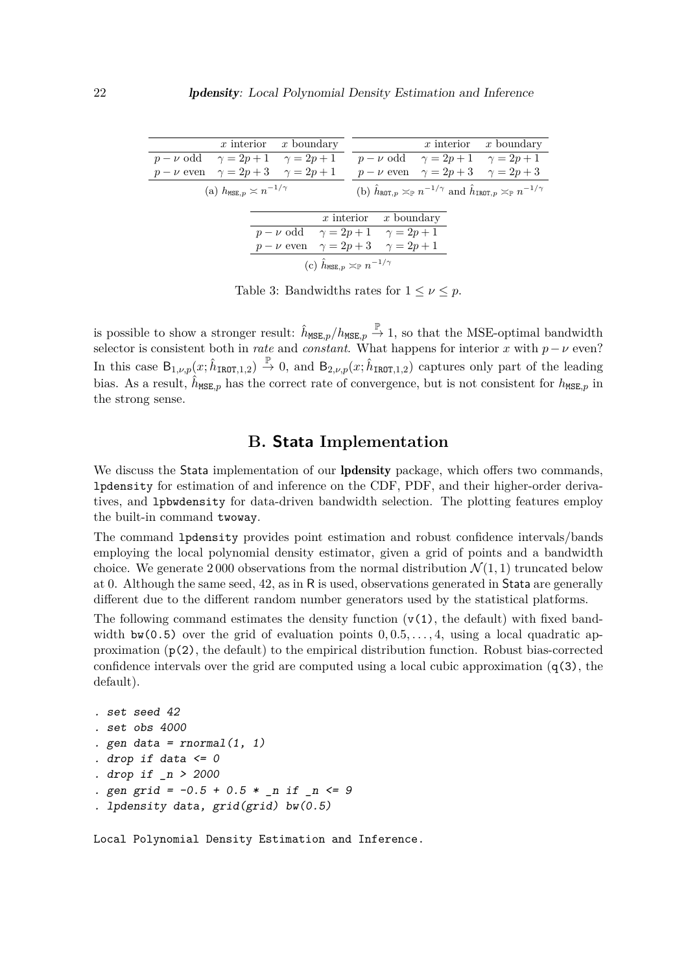<span id="page-21-1"></span>

|                                                                                                                                                                                  |  | x interior $x$ boundary                           |  |  |                         |  | x interior $x$ boundary                            |  |  |
|----------------------------------------------------------------------------------------------------------------------------------------------------------------------------------|--|---------------------------------------------------|--|--|-------------------------|--|----------------------------------------------------|--|--|
| $p - \nu$ odd $\gamma = 2p + 1$ $\gamma = 2p + 1$                                                                                                                                |  |                                                   |  |  |                         |  | $p - \nu$ odd $\gamma = 2p + 1$ $\gamma = 2p + 1$  |  |  |
| $p - \nu$ even $\gamma = 2p + 3$ $\gamma = 2p + 1$                                                                                                                               |  |                                                   |  |  |                         |  | $p - \nu$ even $\gamma = 2p + 3$ $\gamma = 2p + 3$ |  |  |
| (b) $\hat{h}_{\text{ROT},p} \approx_{\mathbb{P}} n^{-1/\gamma}$ and $\hat{h}_{\text{IROT},p} \approx_{\mathbb{P}} n^{-1/\gamma}$<br>(a) $h_{\text{MSE}, p} \asymp n^{-1/\gamma}$ |  |                                                   |  |  |                         |  |                                                    |  |  |
|                                                                                                                                                                                  |  |                                                   |  |  | x interior $x$ boundary |  |                                                    |  |  |
|                                                                                                                                                                                  |  | $p - \nu$ odd $\gamma = 2p + 1$ $\gamma = 2p + 1$ |  |  |                         |  |                                                    |  |  |
|                                                                                                                                                                                  |  | $p-\nu$ even $\gamma = 2p+3$ $\gamma = 2p+1$      |  |  |                         |  |                                                    |  |  |
| (c) $\hat{h}_{\text{MSE},p} \asymp_{\mathbb{P}} n^{-1/\gamma}$                                                                                                                   |  |                                                   |  |  |                         |  |                                                    |  |  |

Table 3: Bandwidths rates for  $1 \leq \nu \leq p$ .

is possible to show a stronger result:  $\hat{h}_{MSE,p}/h_{MSE,p} \stackrel{\mathbb{P}}{\rightarrow} 1$ , so that the MSE-optimal bandwidth selector is consistent both in *rate* and *constant*. What happens for interior *x* with  $p - \nu$  even? In this case  $B_{1,\nu,p}(x;\hat{h}_{IROT,1,2}) \stackrel{\mathbb{P}}{\rightarrow} 0$ , and  $B_{2,\nu,p}(x;\hat{h}_{IROT,1,2})$  captures only part of the leading bias. As a result,  $\hat{h}_{\text{MSE},p}$  has the correct rate of convergence, but is not consistent for  $h_{\text{MSE},p}$  in the strong sense.

# **B. Stata Implementation**

<span id="page-21-0"></span>We discuss the Stata implementation of our **lpdensity** package, which offers two commands, lpdensity for estimation of and inference on the CDF, PDF, and their higher-order derivatives, and lpbwdensity for data-driven bandwidth selection. The plotting features employ the built-in command twoway.

The command lpdensity provides point estimation and robust confidence intervals/bands employing the local polynomial density estimator, given a grid of points and a bandwidth choice. We generate 2000 observations from the normal distribution  $\mathcal{N}(1,1)$  truncated below at 0. Although the same seed, 42, as in R is used, observations generated in Stata are generally different due to the different random number generators used by the statistical platforms.

The following command estimates the density function  $(v(1),$  the default) with fixed bandwidth  $bw(0.5)$  over the grid of evaluation points  $0, 0.5, \ldots, 4$ , using a local quadratic approximation  $(p(2))$ , the default) to the empirical distribution function. Robust bias-corrected confidence intervals over the grid are computed using a local cubic approximation  $(q(3),$  the default).

```
. set seed 42
. set obs 4000
. gen data = rnormal(1, 1). drop if data \leq 0. drop if _n > 2000
. gen grid = -0.5 + 0.5 * n if n \le 9. lpdensity data, grid(grid) bw(0.5)
```
Local Polynomial Density Estimation and Inference.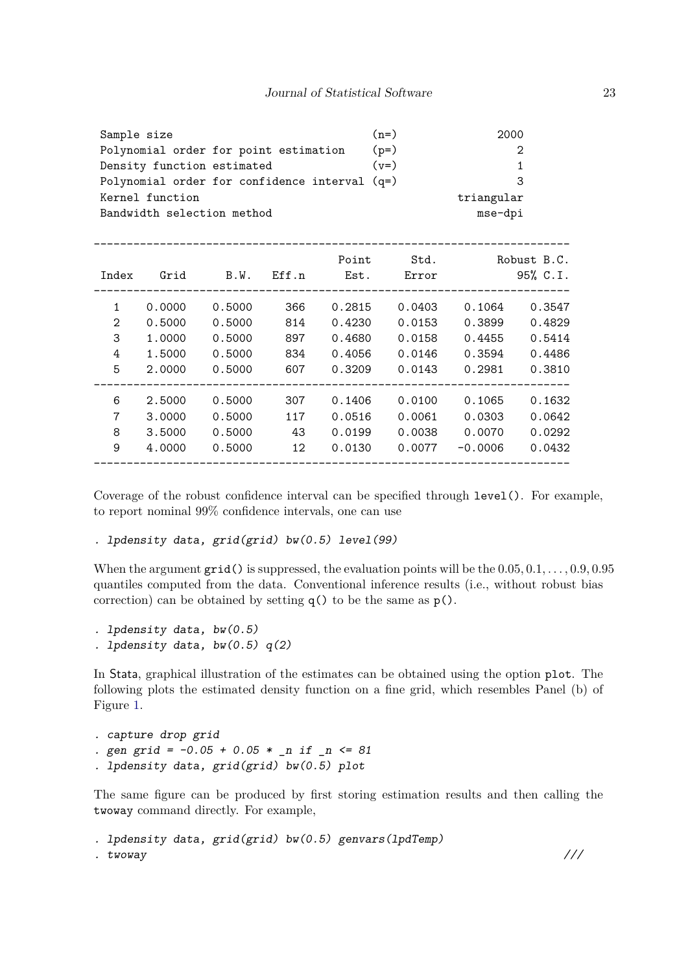| Sample size                                   | $(n=)$ | 2000       |
|-----------------------------------------------|--------|------------|
| Polynomial order for point estimation         | $(p=)$ | 2          |
| Density function estimated                    | $(y=)$ |            |
| Polynomial order for confidence interval (q=) |        | -3         |
| Kernel function                               |        | triangular |
| Bandwidth selection method                    |        | mse-dpi    |

| Index        | Grid   | B.W.   | Eff.n | Point<br>Est. | Std.<br>Error |           | Robust B.C.<br>95% C.I. |
|--------------|--------|--------|-------|---------------|---------------|-----------|-------------------------|
| $\mathbf{1}$ | 0.0000 | 0.5000 | 366   | 0.2815        | 0.0403        | 0.1064    | 0.3547                  |
| 2            | 0.5000 | 0.5000 | 814   | 0.4230        | 0.0153        | 0.3899    | 0.4829                  |
| 3            | 1,0000 | 0.5000 | 897   | 0.4680        | 0.0158        | 0.4455    | 0.5414                  |
| 4            | 1.5000 | 0.5000 | 834   | 0.4056        | 0.0146        | 0.3594    | 0.4486                  |
| 5            | 2,0000 | 0.5000 | 607   | 0.3209        | 0.0143        | 0.2981    | 0.3810                  |
|              |        |        |       |               |               |           |                         |
| 6            | 2.5000 | 0.5000 | 307   | 0.1406        | 0.0100        | 0.1065    | 0.1632                  |
| 7            | 3.0000 | 0.5000 | 117   | 0.0516        | 0.0061        | 0.0303    | 0.0642                  |
| 8            | 3.5000 | 0.5000 | 43    | 0.0199        | 0.0038        | 0.0070    | 0.0292                  |
| 9            | 4.0000 | 0.5000 | 12    | 0.0130        | 0.0077        | $-0.0006$ | 0.0432                  |
|              |        |        |       |               |               |           |                         |

Coverage of the robust confidence interval can be specified through level(). For example, to report nominal 99% confidence intervals, one can use

. lpdensity data, grid(grid) bw(0.5) level(99)

When the argument grid() is suppressed, the evaluation points will be the 0*.*05*,* 0*.*1*, . . . ,* 0*.*9*,* 0*.*95 quantiles computed from the data. Conventional inference results (i.e., without robust bias correction) can be obtained by setting  $q()$  to be the same as  $p()$ .

```
. lpdensity data, bw(0.5)
. lpdensity data, bw(0.5) q(2)
```
In Stata, graphical illustration of the estimates can be obtained using the option plot. The following plots the estimated density function on a fine grid, which resembles Panel (b) of Figure [1.](#page-9-1)

```
. capture drop grid
. gen grid = -0.05 + 0.05 * n if _n \leq 81. lpdensity data, grid(grid) bw(0.5) plot
```
The same figure can be produced by first storing estimation results and then calling the twoway command directly. For example,

```
. lpdensity data, grid(grid) bw(0.5) genvars(lpdTemp)
. twoway ///
```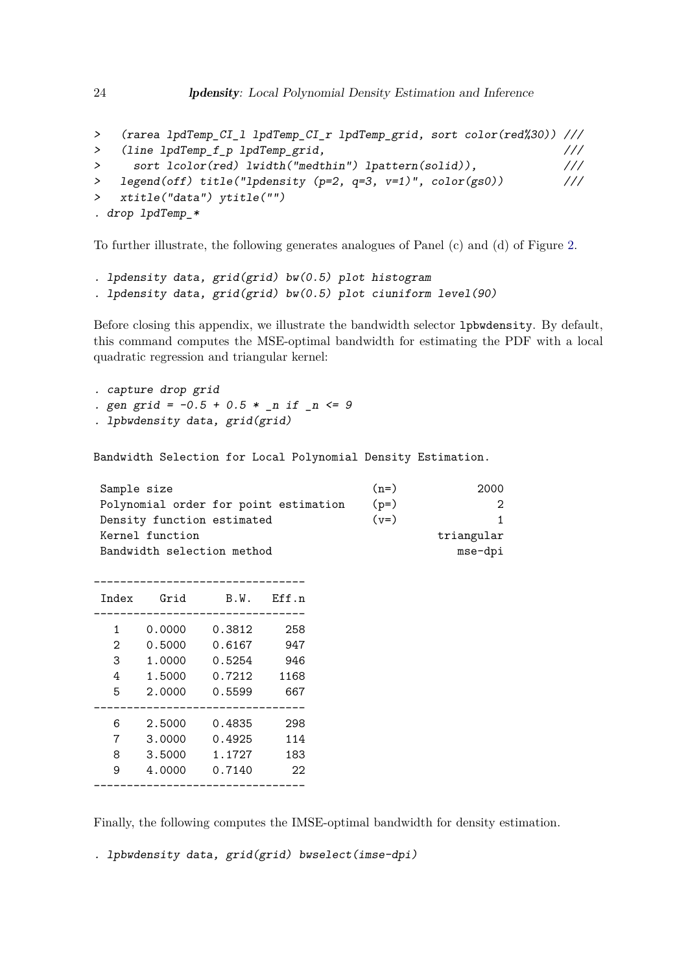```
> (rarea lpdTemp_CI_l lpdTemp_CI_r lpdTemp_grid, sort color(red%30)) ///
> (line lpdTemp_f_p lpdTemp_grid, ///
> sort lcolor(red) lwidth("medthin") lpattern(solid)), ///
> legend(off) title("lpdensity (p=2, q=3, v=1)", color(gs0)) ///
> xtitle("data") ytitle("")
. drop lpdTemp_*
```
To further illustrate, the following generates analogues of Panel (c) and (d) of Figure [2.](#page-13-0)

```
. lpdensity data, grid(grid) bw(0.5) plot histogram
. lpdensity data, grid(grid) bw(0.5) plot ciuniform level(90)
```
Before closing this appendix, we illustrate the bandwidth selector lpbwdensity. By default, this command computes the MSE-optimal bandwidth for estimating the PDF with a local quadratic regression and triangular kernel:

. capture drop grid . gen grid =  $-0.5 + 0.5 *$  n if  $n \le 9$ . lpbwdensity data, grid(grid)

Bandwidth Selection for Local Polynomial Density Estimation.

| $(n=)$                                          | 2000       |
|-------------------------------------------------|------------|
| $(p=)$<br>Polynomial order for point estimation | 2          |
| $(v=)$                                          | 1.         |
|                                                 | triangular |
|                                                 | mse-dpi    |
|                                                 |            |

| <b>Tndex</b> | Grid   | B.W.   | Eff.n |
|--------------|--------|--------|-------|
|              |        |        |       |
| 1            | 0.0000 | 0.3812 | 258   |
| 2            | 0.5000 | 0.6167 | 947   |
| 3            | 1.0000 | 0.5254 | 946   |
| 4            | 1.5000 | 0.7212 | 1168  |
| 5            | 2.0000 | 0.5599 | 667   |
|              |        |        |       |
| 6            | 2.5000 | 0.4835 | 298   |
| 7            | 3.0000 | 0.4925 | 114   |
| 8            | 3.5000 | 1.1727 | 183   |
| 9            | 4.0000 | 0.7140 | 22    |
|              |        |        |       |

Finally, the following computes the IMSE-optimal bandwidth for density estimation.

. lpbwdensity data, grid(grid) bwselect(imse-dpi)